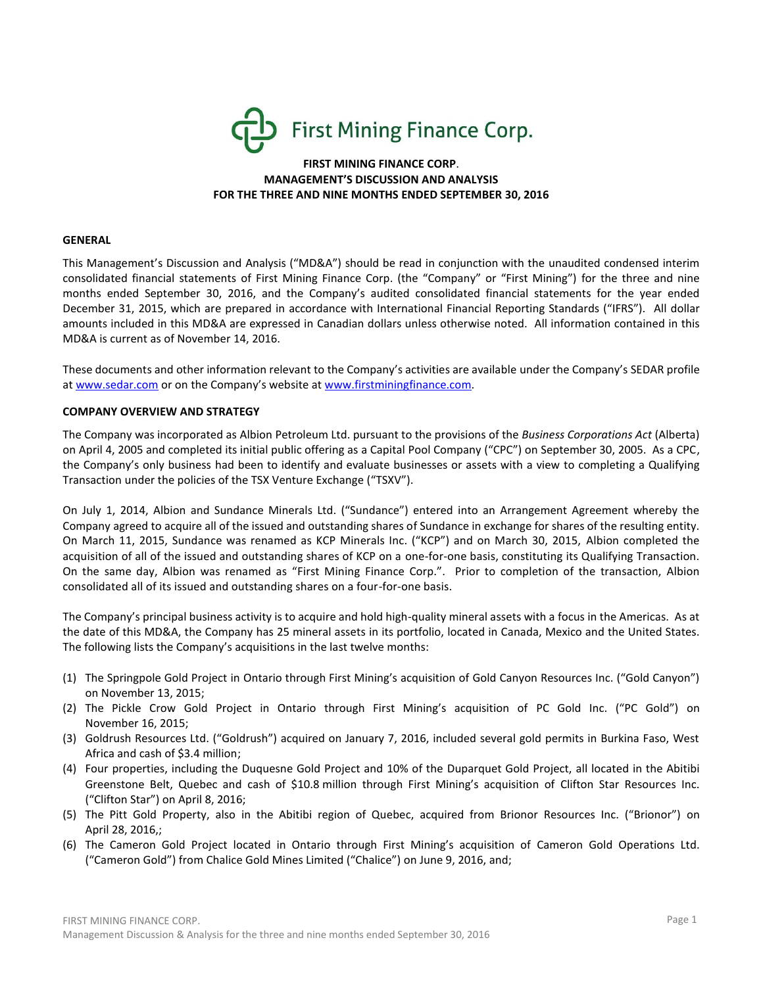

# **FIRST MINING FINANCE CORP**. **MANAGEMENT'S DISCUSSION AND ANALYSIS FOR THE THREE AND NINE MONTHS ENDED SEPTEMBER 30, 2016**

#### **GENERAL**

This Management's Discussion and Analysis ("MD&A") should be read in conjunction with the unaudited condensed interim consolidated financial statements of First Mining Finance Corp. (the "Company" or "First Mining") for the three and nine months ended September 30, 2016, and the Company's audited consolidated financial statements for the year ended December 31, 2015, which are prepared in accordance with International Financial Reporting Standards ("IFRS"). All dollar amounts included in this MD&A are expressed in Canadian dollars unless otherwise noted. All information contained in this MD&A is current as of November 14, 2016.

These documents and other information relevant to the Company's activities are available under the Company's SEDAR profile at [www.sedar.com](http://www.sedar.com/) or on the Company's website at [www.firstminingfinance.com.](http://www.firstminingfinance.com/)

#### **COMPANY OVERVIEW AND STRATEGY**

The Company was incorporated as Albion Petroleum Ltd. pursuant to the provisions of the *Business Corporations Act* (Alberta) on April 4, 2005 and completed its initial public offering as a Capital Pool Company ("CPC") on September 30, 2005. As a CPC, the Company's only business had been to identify and evaluate businesses or assets with a view to completing a Qualifying Transaction under the policies of the TSX Venture Exchange ("TSXV").

On July 1, 2014, Albion and Sundance Minerals Ltd. ("Sundance") entered into an Arrangement Agreement whereby the Company agreed to acquire all of the issued and outstanding shares of Sundance in exchange for shares of the resulting entity. On March 11, 2015, Sundance was renamed as KCP Minerals Inc. ("KCP") and on March 30, 2015, Albion completed the acquisition of all of the issued and outstanding shares of KCP on a one-for-one basis, constituting its Qualifying Transaction. On the same day, Albion was renamed as "First Mining Finance Corp.". Prior to completion of the transaction, Albion consolidated all of its issued and outstanding shares on a four-for-one basis.

The Company's principal business activity is to acquire and hold high-quality mineral assets with a focus in the Americas. As at the date of this MD&A, the Company has 25 mineral assets in its portfolio, located in Canada, Mexico and the United States. The following lists the Company's acquisitions in the last twelve months:

- (1) The Springpole Gold Project in Ontario through First Mining's acquisition of Gold Canyon Resources Inc. ("Gold Canyon") on November 13, 2015;
- (2) The Pickle Crow Gold Project in Ontario through First Mining's acquisition of PC Gold Inc. ("PC Gold") on November 16, 2015;
- (3) Goldrush Resources Ltd. ("Goldrush") acquired on January 7, 2016, included several gold permits in Burkina Faso, West Africa and cash of \$3.4 million;
- (4) Four properties, including the Duquesne Gold Project and 10% of the Duparquet Gold Project, all located in the Abitibi Greenstone Belt, Quebec and cash of \$10.8 million through First Mining's acquisition of Clifton Star Resources Inc. ("Clifton Star") on April 8, 2016;
- (5) The Pitt Gold Property, also in the Abitibi region of Quebec, acquired from Brionor Resources Inc. ("Brionor") on April 28, 2016,;
- (6) The Cameron Gold Project located in Ontario through First Mining's acquisition of Cameron Gold Operations Ltd. ("Cameron Gold") from Chalice Gold Mines Limited ("Chalice") on June 9, 2016, and;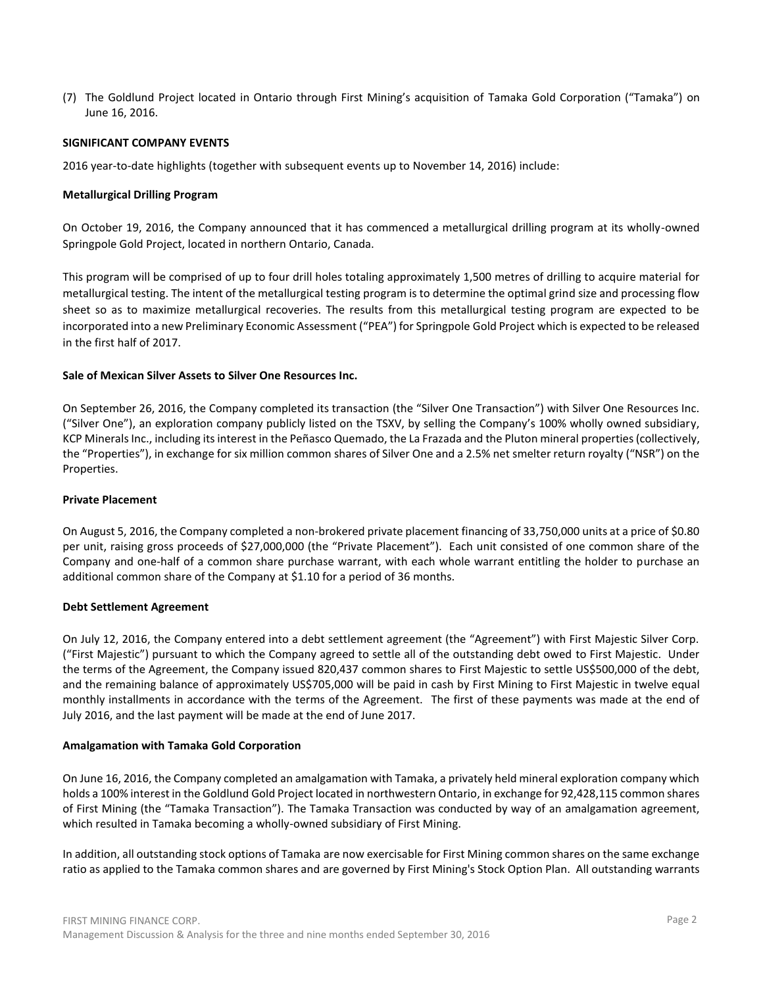(7) The Goldlund Project located in Ontario through First Mining's acquisition of Tamaka Gold Corporation ("Tamaka") on June 16, 2016.

### **SIGNIFICANT COMPANY EVENTS**

2016 year-to-date highlights (together with subsequent events up to November 14, 2016) include:

### **Metallurgical Drilling Program**

On October 19, 2016, the Company announced that it has commenced a metallurgical drilling program at its wholly-owned Springpole Gold Project, located in northern Ontario, Canada.

This program will be comprised of up to four drill holes totaling approximately 1,500 metres of drilling to acquire material for metallurgical testing. The intent of the metallurgical testing program is to determine the optimal grind size and processing flow sheet so as to maximize metallurgical recoveries. The results from this metallurgical testing program are expected to be incorporated into a new Preliminary Economic Assessment ("PEA") for Springpole Gold Project which is expected to be released in the first half of 2017.

## **Sale of Mexican Silver Assets to Silver One Resources Inc.**

On September 26, 2016, the Company completed its transaction (the "Silver One Transaction") with Silver One Resources Inc. ("Silver One"), an exploration company publicly listed on the TSXV, by selling the Company's 100% wholly owned subsidiary, KCP Minerals Inc., including its interest in the Peñasco Quemado, the La Frazada and the Pluton mineral properties (collectively, the "Properties"), in exchange for six million common shares of Silver One and a 2.5% net smelter return royalty ("NSR") on the Properties.

### **Private Placement**

On August 5, 2016, the Company completed a non-brokered private placement financing of 33,750,000 units at a price of \$0.80 per unit, raising gross proceeds of \$27,000,000 (the "Private Placement"). Each unit consisted of one common share of the Company and one-half of a common share purchase warrant, with each whole warrant entitling the holder to purchase an additional common share of the Company at \$1.10 for a period of 36 months.

#### **Debt Settlement Agreement**

On July 12, 2016, the Company entered into a debt settlement agreement (the "Agreement") with First Majestic Silver Corp. ("First Majestic") pursuant to which the Company agreed to settle all of the outstanding debt owed to First Majestic. Under the terms of the Agreement, the Company issued 820,437 common shares to First Majestic to settle US\$500,000 of the debt, and the remaining balance of approximately US\$705,000 will be paid in cash by First Mining to First Majestic in twelve equal monthly installments in accordance with the terms of the Agreement. The first of these payments was made at the end of July 2016, and the last payment will be made at the end of June 2017.

#### **Amalgamation with Tamaka Gold Corporation**

On June 16, 2016, the Company completed an amalgamation with Tamaka, a privately held mineral exploration company which holds a 100% interest in the Goldlund Gold Project located in northwestern Ontario, in exchange for 92,428,115 common shares of First Mining (the "Tamaka Transaction"). The Tamaka Transaction was conducted by way of an amalgamation agreement, which resulted in Tamaka becoming a wholly-owned subsidiary of First Mining.

In addition, all outstanding stock options of Tamaka are now exercisable for First Mining common shares on the same exchange ratio as applied to the Tamaka common shares and are governed by First Mining's Stock Option Plan. All outstanding warrants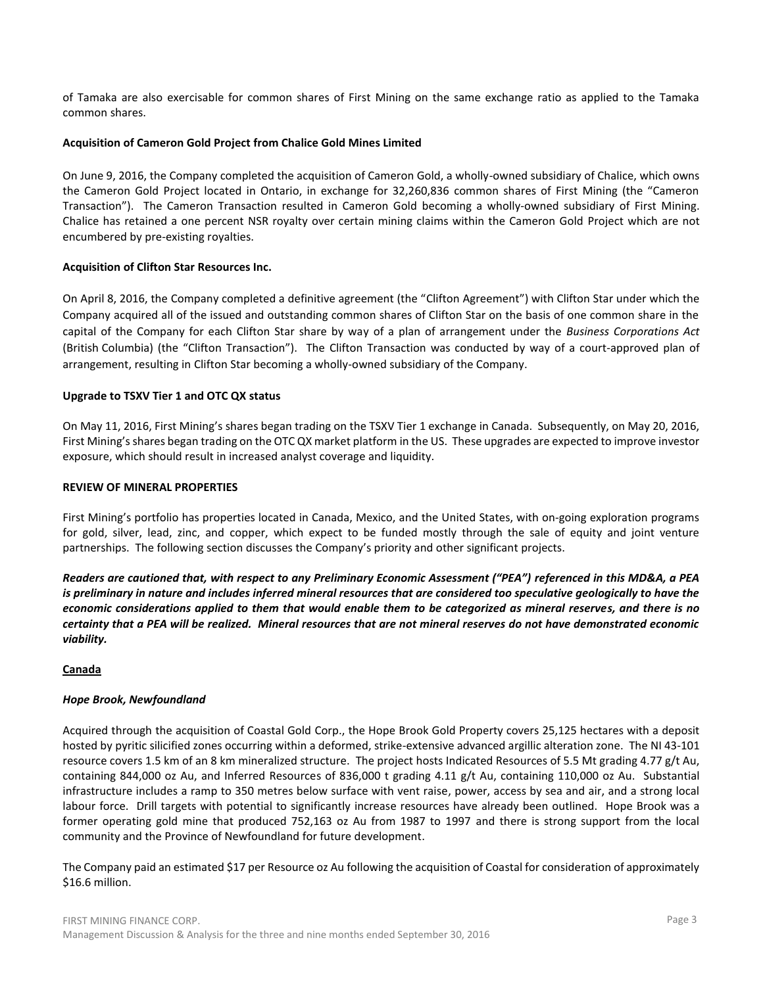of Tamaka are also exercisable for common shares of First Mining on the same exchange ratio as applied to the Tamaka common shares.

### **Acquisition of Cameron Gold Project from Chalice Gold Mines Limited**

On June 9, 2016, the Company completed the acquisition of Cameron Gold, a wholly-owned subsidiary of Chalice, which owns the Cameron Gold Project located in Ontario, in exchange for 32,260,836 common shares of First Mining (the "Cameron Transaction"). The Cameron Transaction resulted in Cameron Gold becoming a wholly-owned subsidiary of First Mining. Chalice has retained a one percent NSR royalty over certain mining claims within the Cameron Gold Project which are not encumbered by pre-existing royalties.

# **Acquisition of Clifton Star Resources Inc.**

On April 8, 2016, the Company completed a definitive agreement (the "Clifton Agreement") with Clifton Star under which the Company acquired all of the issued and outstanding common shares of Clifton Star on the basis of one common share in the capital of the Company for each Clifton Star share by way of a plan of arrangement under the *Business Corporations Act* (British Columbia) (the "Clifton Transaction"). The Clifton Transaction was conducted by way of a court-approved plan of arrangement, resulting in Clifton Star becoming a wholly-owned subsidiary of the Company.

# **Upgrade to TSXV Tier 1 and OTC QX status**

On May 11, 2016, First Mining's shares began trading on the TSXV Tier 1 exchange in Canada. Subsequently, on May 20, 2016, First Mining's shares began trading on the OTC QX market platform in the US. These upgrades are expected to improve investor exposure, which should result in increased analyst coverage and liquidity.

### **REVIEW OF MINERAL PROPERTIES**

First Mining's portfolio has properties located in Canada, Mexico, and the United States, with on‐going exploration programs for gold, silver, lead, zinc, and copper, which expect to be funded mostly through the sale of equity and joint venture partnerships. The following section discusses the Company's priority and other significant projects.

*Readers are cautioned that, with respect to any Preliminary Economic Assessment ("PEA") referenced in this MD&A, a PEA is preliminary in nature and includes inferred mineral resources that are considered too speculative geologically to have the economic considerations applied to them that would enable them to be categorized as mineral reserves, and there is no certainty that a PEA will be realized. Mineral resources that are not mineral reserves do not have demonstrated economic viability.*

# **Canada**

#### *Hope Brook, Newfoundland*

Acquired through the acquisition of Coastal Gold Corp., the Hope Brook Gold Property covers 25,125 hectares with a deposit hosted by pyritic silicified zones occurring within a deformed, strike-extensive advanced argillic alteration zone. The NI 43-101 resource covers 1.5 km of an 8 km mineralized structure. The project hosts Indicated Resources of 5.5 Mt grading 4.77 g/t Au, containing 844,000 oz Au, and Inferred Resources of 836,000 t grading 4.11 g/t Au, containing 110,000 oz Au. Substantial infrastructure includes a ramp to 350 metres below surface with vent raise, power, access by sea and air, and a strong local labour force. Drill targets with potential to significantly increase resources have already been outlined. Hope Brook was a former operating gold mine that produced 752,163 oz Au from 1987 to 1997 and there is strong support from the local community and the Province of Newfoundland for future development.

The Company paid an estimated \$17 per Resource oz Au following the acquisition of Coastal for consideration of approximately \$16.6 million.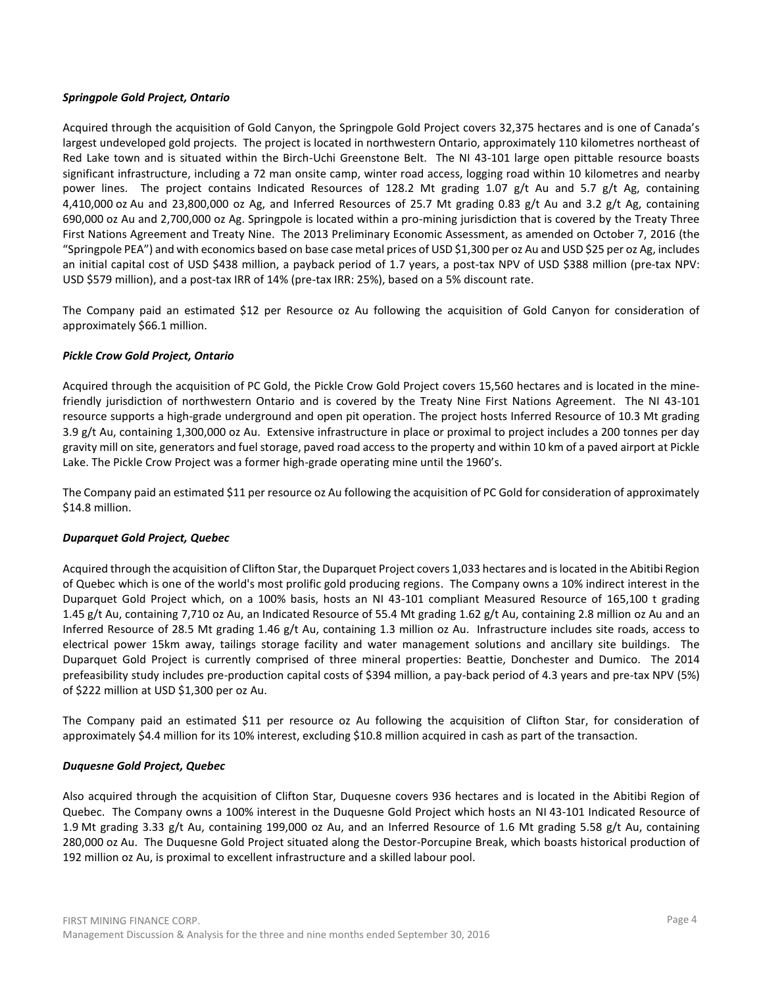### *Springpole Gold Project, Ontario*

Acquired through the acquisition of Gold Canyon, the Springpole Gold Project covers 32,375 hectares and is one of Canada's largest undeveloped gold projects. The project is located in northwestern Ontario, approximately 110 kilometres northeast of Red Lake town and is situated within the Birch-Uchi Greenstone Belt. The NI 43-101 large open pittable resource boasts significant infrastructure, including a 72 man onsite camp, winter road access, logging road within 10 kilometres and nearby power lines. The project contains Indicated Resources of 128.2 Mt grading 1.07 g/t Au and 5.7 g/t Ag, containing 4,410,000 oz Au and 23,800,000 oz Ag, and Inferred Resources of 25.7 Mt grading 0.83 g/t Au and 3.2 g/t Ag, containing 690,000 oz Au and 2,700,000 oz Ag. Springpole is located within a pro-mining jurisdiction that is covered by the Treaty Three First Nations Agreement and Treaty Nine. The 2013 Preliminary Economic Assessment, as amended on October 7, 2016 (the "Springpole PEA") and with economics based on base case metal prices of USD \$1,300 per oz Au and USD \$25 per oz Ag, includes an initial capital cost of USD \$438 million, a payback period of 1.7 years, a post-tax NPV of USD \$388 million (pre-tax NPV: USD \$579 million), and a post-tax IRR of 14% (pre-tax IRR: 25%), based on a 5% discount rate.

The Company paid an estimated \$12 per Resource oz Au following the acquisition of Gold Canyon for consideration of approximately \$66.1 million.

# *Pickle Crow Gold Project, Ontario*

Acquired through the acquisition of PC Gold, the Pickle Crow Gold Project covers 15,560 hectares and is located in the minefriendly jurisdiction of northwestern Ontario and is covered by the Treaty Nine First Nations Agreement. The NI 43-101 resource supports a high-grade underground and open pit operation. The project hosts Inferred Resource of 10.3 Mt grading 3.9 g/t Au, containing 1,300,000 oz Au. Extensive infrastructure in place or proximal to project includes a 200 tonnes per day gravity mill on site, generators and fuel storage, paved road access to the property and within 10 km of a paved airport at Pickle Lake. The Pickle Crow Project was a former high-grade operating mine until the 1960's.

The Company paid an estimated \$11 per resource oz Au following the acquisition of PC Gold for consideration of approximately \$14.8 million.

# *Duparquet Gold Project, Quebec*

Acquired through the acquisition of Clifton Star, the Duparquet Project covers 1,033 hectares and is located in the Abitibi Region of Quebec which is one of the world's most prolific gold producing regions. The Company owns a 10% indirect interest in the Duparquet Gold Project which, on a 100% basis, hosts an NI 43-101 compliant Measured Resource of 165,100 t grading 1.45 g/t Au, containing 7,710 oz Au, an Indicated Resource of 55.4 Mt grading 1.62 g/t Au, containing 2.8 million oz Au and an Inferred Resource of 28.5 Mt grading 1.46 g/t Au, containing 1.3 million oz Au. Infrastructure includes site roads, access to electrical power 15km away, tailings storage facility and water management solutions and ancillary site buildings. The Duparquet Gold Project is currently comprised of three mineral properties: Beattie, Donchester and Dumico. The 2014 prefeasibility study includes pre-production capital costs of \$394 million, a pay-back period of 4.3 years and pre-tax NPV (5%) of \$222 million at USD \$1,300 per oz Au.

The Company paid an estimated \$11 per resource oz Au following the acquisition of Clifton Star, for consideration of approximately \$4.4 million for its 10% interest, excluding \$10.8 million acquired in cash as part of the transaction.

# *Duquesne Gold Project, Quebec*

Also acquired through the acquisition of Clifton Star, Duquesne covers 936 hectares and is located in the Abitibi Region of Quebec. The Company owns a 100% interest in the Duquesne Gold Project which hosts an NI 43-101 Indicated Resource of 1.9 Mt grading 3.33 g/t Au, containing 199,000 oz Au, and an Inferred Resource of 1.6 Mt grading 5.58 g/t Au, containing 280,000 oz Au. The Duquesne Gold Project situated along the Destor-Porcupine Break, which boasts historical production of 192 million oz Au, is proximal to excellent infrastructure and a skilled labour pool.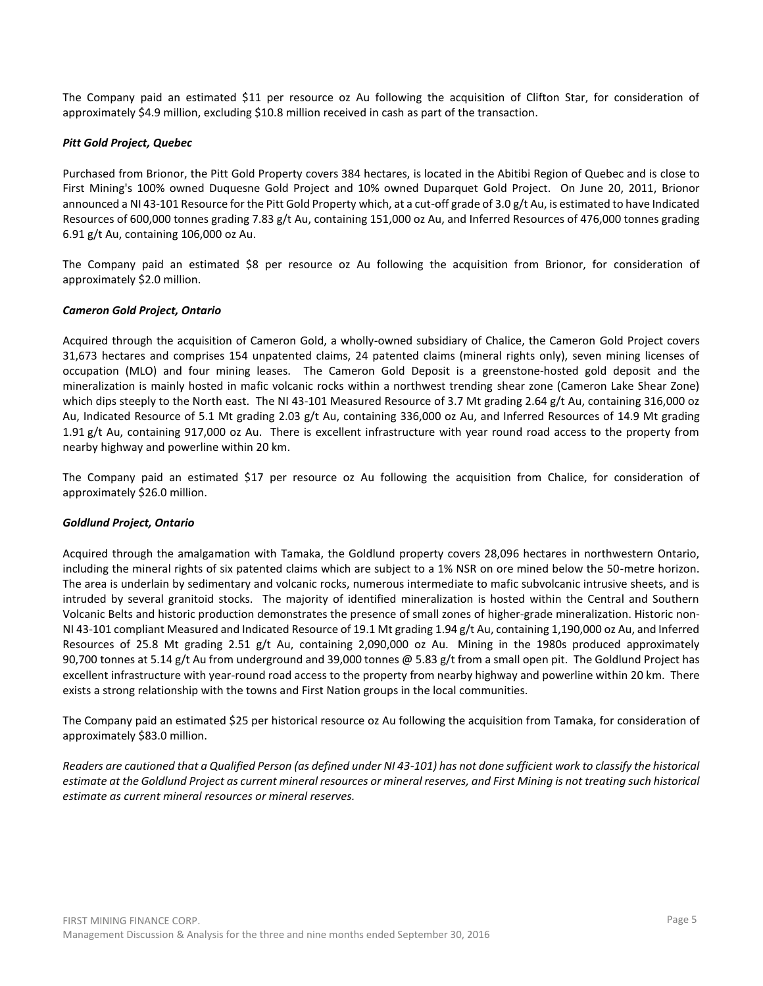The Company paid an estimated \$11 per resource oz Au following the acquisition of Clifton Star, for consideration of approximately \$4.9 million, excluding \$10.8 million received in cash as part of the transaction.

### *Pitt Gold Project, Quebec*

Purchased from Brionor, the Pitt Gold Property covers 384 hectares, is located in the Abitibi Region of Quebec and is close to First Mining's 100% owned Duquesne Gold Project and 10% owned Duparquet Gold Project. On June 20, 2011, Brionor announced a NI 43-101 Resource for the Pitt Gold Property which, at a cut-off grade of 3.0 g/t Au, is estimated to have Indicated Resources of 600,000 tonnes grading 7.83 g/t Au, containing 151,000 oz Au, and Inferred Resources of 476,000 tonnes grading 6.91 g/t Au, containing 106,000 oz Au.

The Company paid an estimated \$8 per resource oz Au following the acquisition from Brionor, for consideration of approximately \$2.0 million.

### *Cameron Gold Project, Ontario*

Acquired through the acquisition of Cameron Gold, a wholly-owned subsidiary of Chalice, the Cameron Gold Project covers 31,673 hectares and comprises 154 unpatented claims, 24 patented claims (mineral rights only), seven mining licenses of occupation (MLO) and four mining leases. The Cameron Gold Deposit is a greenstone‐hosted gold deposit and the mineralization is mainly hosted in mafic volcanic rocks within a northwest trending shear zone (Cameron Lake Shear Zone) which dips steeply to the North east. The NI 43-101 Measured Resource of 3.7 Mt grading 2.64 g/t Au, containing 316,000 oz Au, Indicated Resource of 5.1 Mt grading 2.03 g/t Au, containing 336,000 oz Au, and Inferred Resources of 14.9 Mt grading 1.91 g/t Au, containing 917,000 oz Au. There is excellent infrastructure with year round road access to the property from nearby highway and powerline within 20 km.

The Company paid an estimated \$17 per resource oz Au following the acquisition from Chalice, for consideration of approximately \$26.0 million.

#### *Goldlund Project, Ontario*

Acquired through the amalgamation with Tamaka, the Goldlund property covers 28,096 hectares in northwestern Ontario, including the mineral rights of six patented claims which are subject to a 1% NSR on ore mined below the 50-metre horizon. The area is underlain by sedimentary and volcanic rocks, numerous intermediate to mafic subvolcanic intrusive sheets, and is intruded by several granitoid stocks. The majority of identified mineralization is hosted within the Central and Southern Volcanic Belts and historic production demonstrates the presence of small zones of higher-grade mineralization. Historic non-NI 43-101 compliant Measured and Indicated Resource of 19.1 Mt grading 1.94 g/t Au, containing 1,190,000 oz Au, and Inferred Resources of 25.8 Mt grading 2.51 g/t Au, containing 2,090,000 oz Au. Mining in the 1980s produced approximately 90,700 tonnes at 5.14 g/t Au from underground and 39,000 tonnes @ 5.83 g/t from a small open pit. The Goldlund Project has excellent infrastructure with year-round road access to the property from nearby highway and powerline within 20 km. There exists a strong relationship with the towns and First Nation groups in the local communities.

The Company paid an estimated \$25 per historical resource oz Au following the acquisition from Tamaka, for consideration of approximately \$83.0 million.

*Readers are cautioned that a Qualified Person (as defined under NI 43-101) has not done sufficient work to classify the historical estimate at the Goldlund Project as current mineral resources or mineral reserves, and First Mining is not treating such historical estimate as current mineral resources or mineral reserves.*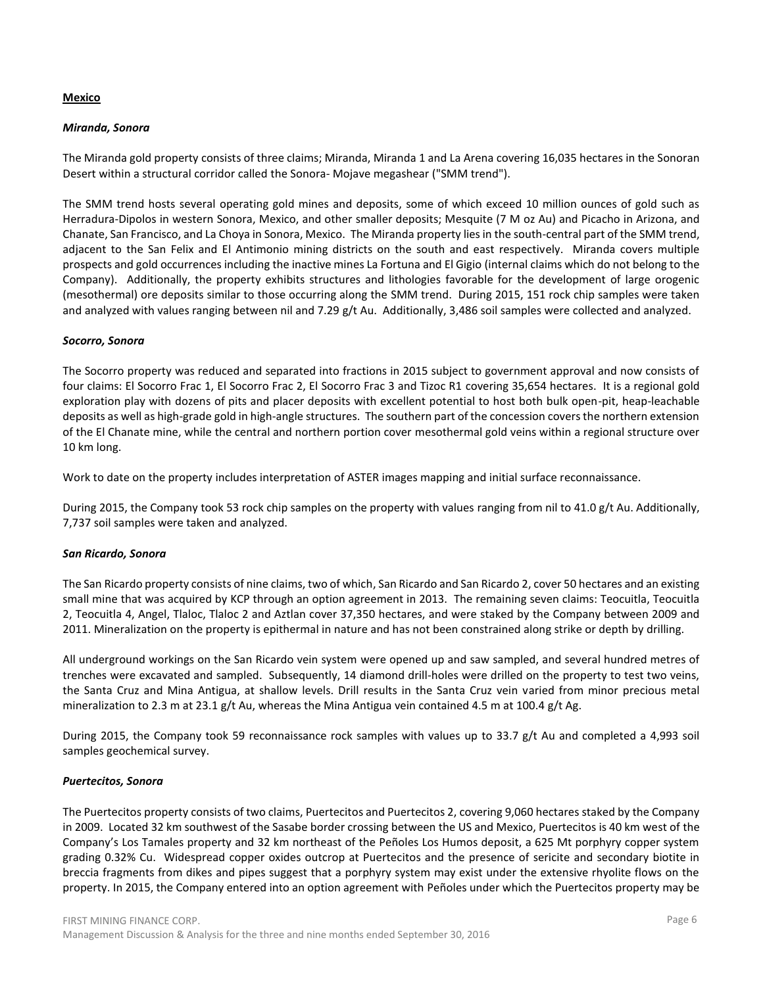#### **Mexico**

#### *Miranda, Sonora*

The Miranda gold property consists of three claims; Miranda, Miranda 1 and La Arena covering 16,035 hectares in the Sonoran Desert within a structural corridor called the Sonora- Mojave megashear ("SMM trend").

The SMM trend hosts several operating gold mines and deposits, some of which exceed 10 million ounces of gold such as Herradura-Dipolos in western Sonora, Mexico, and other smaller deposits; Mesquite (7 M oz Au) and Picacho in Arizona, and Chanate, San Francisco, and La Choya in Sonora, Mexico. The Miranda property lies in the south-central part of the SMM trend, adjacent to the San Felix and El Antimonio mining districts on the south and east respectively. Miranda covers multiple prospects and gold occurrences including the inactive mines La Fortuna and El Gigio (internal claims which do not belong to the Company). Additionally, the property exhibits structures and lithologies favorable for the development of large orogenic (mesothermal) ore deposits similar to those occurring along the SMM trend. During 2015, 151 rock chip samples were taken and analyzed with values ranging between nil and 7.29 g/t Au. Additionally, 3,486 soil samples were collected and analyzed.

#### *Socorro, Sonora*

The Socorro property was reduced and separated into fractions in 2015 subject to government approval and now consists of four claims: El Socorro Frac 1, El Socorro Frac 2, El Socorro Frac 3 and Tizoc R1 covering 35,654 hectares. It is a regional gold exploration play with dozens of pits and placer deposits with excellent potential to host both bulk open-pit, heap-leachable deposits as well as high-grade gold in high-angle structures. The southern part of the concession covers the northern extension of the El Chanate mine, while the central and northern portion cover mesothermal gold veins within a regional structure over 10 km long.

Work to date on the property includes interpretation of ASTER images mapping and initial surface reconnaissance.

During 2015, the Company took 53 rock chip samples on the property with values ranging from nil to 41.0 g/t Au. Additionally, 7,737 soil samples were taken and analyzed.

#### *San Ricardo, Sonora*

The San Ricardo property consists of nine claims, two of which, San Ricardo and San Ricardo 2, cover 50 hectares and an existing small mine that was acquired by KCP through an option agreement in 2013. The remaining seven claims: Teocuitla, Teocuitla 2, Teocuitla 4, Angel, Tlaloc, Tlaloc 2 and Aztlan cover 37,350 hectares, and were staked by the Company between 2009 and 2011. Mineralization on the property is epithermal in nature and has not been constrained along strike or depth by drilling.

All underground workings on the San Ricardo vein system were opened up and saw sampled, and several hundred metres of trenches were excavated and sampled. Subsequently, 14 diamond drill-holes were drilled on the property to test two veins, the Santa Cruz and Mina Antigua, at shallow levels. Drill results in the Santa Cruz vein varied from minor precious metal mineralization to 2.3 m at 23.1 g/t Au, whereas the Mina Antigua vein contained 4.5 m at 100.4 g/t Ag.

During 2015, the Company took 59 reconnaissance rock samples with values up to 33.7 g/t Au and completed a 4,993 soil samples geochemical survey.

#### *Puertecitos, Sonora*

The Puertecitos property consists of two claims, Puertecitos and Puertecitos 2, covering 9,060 hectares staked by the Company in 2009. Located 32 km southwest of the Sasabe border crossing between the US and Mexico, Puertecitos is 40 km west of the Company's Los Tamales property and 32 km northeast of the Peñoles Los Humos deposit, a 625 Mt porphyry copper system grading 0.32% Cu. Widespread copper oxides outcrop at Puertecitos and the presence of sericite and secondary biotite in breccia fragments from dikes and pipes suggest that a porphyry system may exist under the extensive rhyolite flows on the property. In 2015, the Company entered into an option agreement with Peñoles under which the Puertecitos property may be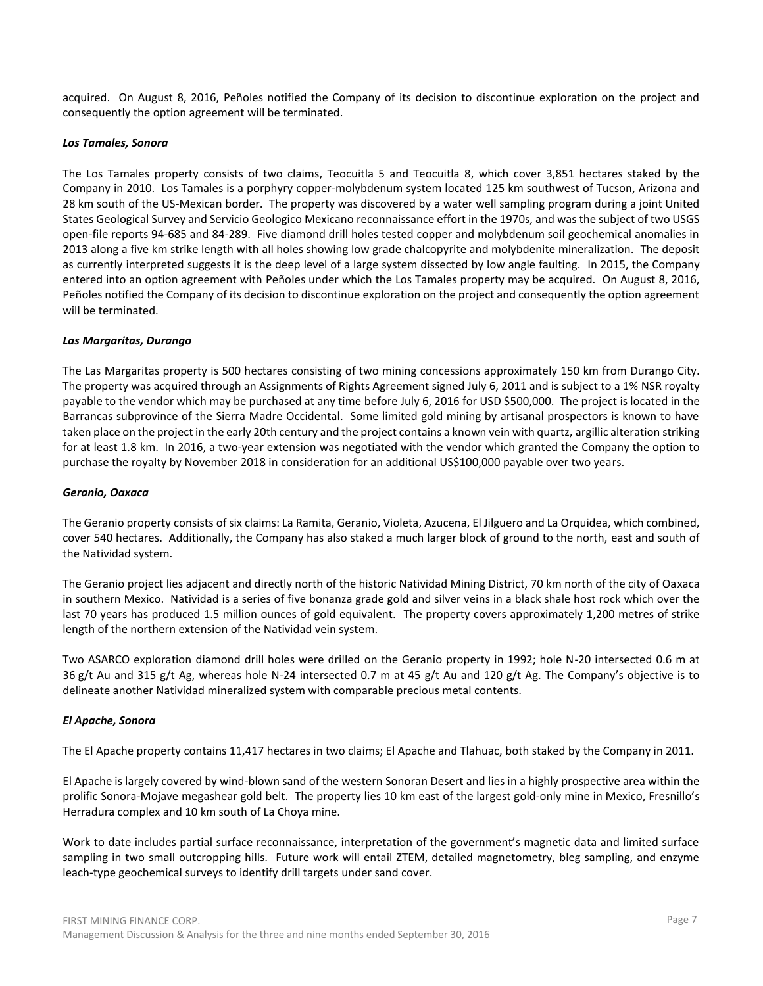acquired. On August 8, 2016, Peñoles notified the Company of its decision to discontinue exploration on the project and consequently the option agreement will be terminated.

#### *Los Tamales, Sonora*

The Los Tamales property consists of two claims, Teocuitla 5 and Teocuitla 8, which cover 3,851 hectares staked by the Company in 2010. Los Tamales is a porphyry copper-molybdenum system located 125 km southwest of Tucson, Arizona and 28 km south of the US-Mexican border. The property was discovered by a water well sampling program during a joint United States Geological Survey and Servicio Geologico Mexicano reconnaissance effort in the 1970s, and was the subject of two USGS open-file reports 94-685 and 84-289. Five diamond drill holes tested copper and molybdenum soil geochemical anomalies in 2013 along a five km strike length with all holes showing low grade chalcopyrite and molybdenite mineralization. The deposit as currently interpreted suggests it is the deep level of a large system dissected by low angle faulting. In 2015, the Company entered into an option agreement with Peñoles under which the Los Tamales property may be acquired. On August 8, 2016, Peñoles notified the Company of its decision to discontinue exploration on the project and consequently the option agreement will be terminated.

#### *Las Margaritas, Durango*

The Las Margaritas property is 500 hectares consisting of two mining concessions approximately 150 km from Durango City. The property was acquired through an Assignments of Rights Agreement signed July 6, 2011 and is subject to a 1% NSR royalty payable to the vendor which may be purchased at any time before July 6, 2016 for USD \$500,000. The project is located in the Barrancas subprovince of the Sierra Madre Occidental. Some limited gold mining by artisanal prospectors is known to have taken place on the project in the early 20th century and the project contains a known vein with quartz, argillic alteration striking for at least 1.8 km. In 2016, a two-year extension was negotiated with the vendor which granted the Company the option to purchase the royalty by November 2018 in consideration for an additional US\$100,000 payable over two years.

#### *Geranio, Oaxaca*

The Geranio property consists of six claims: La Ramita, Geranio, Violeta, Azucena, El Jilguero and La Orquidea, which combined, cover 540 hectares. Additionally, the Company has also staked a much larger block of ground to the north, east and south of the Natividad system.

The Geranio project lies adjacent and directly north of the historic Natividad Mining District, 70 km north of the city of Oaxaca in southern Mexico. Natividad is a series of five bonanza grade gold and silver veins in a black shale host rock which over the last 70 years has produced 1.5 million ounces of gold equivalent. The property covers approximately 1,200 metres of strike length of the northern extension of the Natividad vein system.

Two ASARCO exploration diamond drill holes were drilled on the Geranio property in 1992; hole N-20 intersected 0.6 m at 36 g/t Au and 315 g/t Ag, whereas hole N-24 intersected 0.7 m at 45 g/t Au and 120 g/t Ag. The Company's objective is to delineate another Natividad mineralized system with comparable precious metal contents.

#### *El Apache, Sonora*

The El Apache property contains 11,417 hectares in two claims; El Apache and Tlahuac, both staked by the Company in 2011.

El Apache is largely covered by wind-blown sand of the western Sonoran Desert and lies in a highly prospective area within the prolific Sonora-Mojave megashear gold belt. The property lies 10 km east of the largest gold-only mine in Mexico, Fresnillo's Herradura complex and 10 km south of La Choya mine.

Work to date includes partial surface reconnaissance, interpretation of the government's magnetic data and limited surface sampling in two small outcropping hills. Future work will entail ZTEM, detailed magnetometry, bleg sampling, and enzyme leach-type geochemical surveys to identify drill targets under sand cover.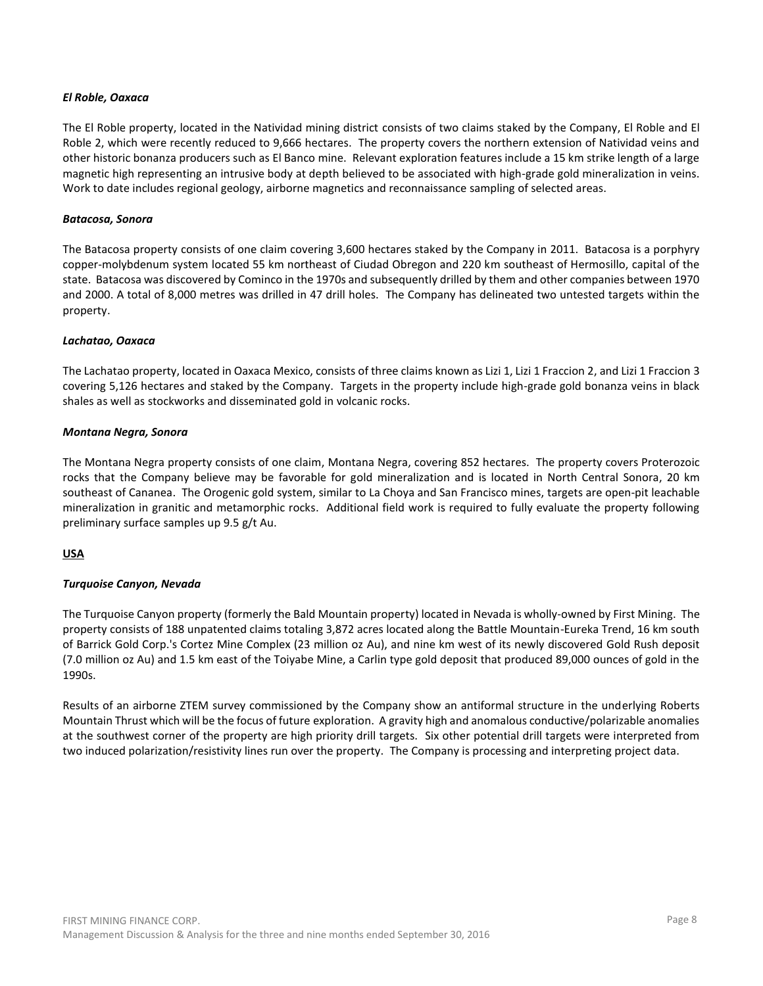### *El Roble, Oaxaca*

The El Roble property, located in the Natividad mining district consists of two claims staked by the Company, El Roble and El Roble 2, which were recently reduced to 9,666 hectares. The property covers the northern extension of Natividad veins and other historic bonanza producers such as El Banco mine. Relevant exploration features include a 15 km strike length of a large magnetic high representing an intrusive body at depth believed to be associated with high-grade gold mineralization in veins. Work to date includes regional geology, airborne magnetics and reconnaissance sampling of selected areas.

### *Batacosa, Sonora*

The Batacosa property consists of one claim covering 3,600 hectares staked by the Company in 2011. Batacosa is a porphyry copper-molybdenum system located 55 km northeast of Ciudad Obregon and 220 km southeast of Hermosillo, capital of the state. Batacosa was discovered by Cominco in the 1970s and subsequently drilled by them and other companies between 1970 and 2000. A total of 8,000 metres was drilled in 47 drill holes. The Company has delineated two untested targets within the property.

### *Lachatao, Oaxaca*

The Lachatao property, located in Oaxaca Mexico, consists of three claims known as Lizi 1, Lizi 1 Fraccion 2, and Lizi 1 Fraccion 3 covering 5,126 hectares and staked by the Company. Targets in the property include high-grade gold bonanza veins in black shales as well as stockworks and disseminated gold in volcanic rocks.

### *Montana Negra, Sonora*

The Montana Negra property consists of one claim, Montana Negra, covering 852 hectares. The property covers Proterozoic rocks that the Company believe may be favorable for gold mineralization and is located in North Central Sonora, 20 km southeast of Cananea. The Orogenic gold system, similar to La Choya and San Francisco mines, targets are open-pit leachable mineralization in granitic and metamorphic rocks. Additional field work is required to fully evaluate the property following preliminary surface samples up 9.5 g/t Au.

# **USA**

# *Turquoise Canyon, Nevada*

The Turquoise Canyon property (formerly the Bald Mountain property) located in Nevada is wholly-owned by First Mining. The property consists of 188 unpatented claims totaling 3,872 acres located along the Battle Mountain-Eureka Trend, 16 km south of Barrick Gold Corp.'s Cortez Mine Complex (23 million oz Au), and nine km west of its newly discovered Gold Rush deposit (7.0 million oz Au) and 1.5 km east of the Toiyabe Mine, a Carlin type gold deposit that produced 89,000 ounces of gold in the 1990s.

Results of an airborne ZTEM survey commissioned by the Company show an antiformal structure in the underlying Roberts Mountain Thrust which will be the focus of future exploration. A gravity high and anomalous conductive/polarizable anomalies at the southwest corner of the property are high priority drill targets. Six other potential drill targets were interpreted from two induced polarization/resistivity lines run over the property. The Company is processing and interpreting project data.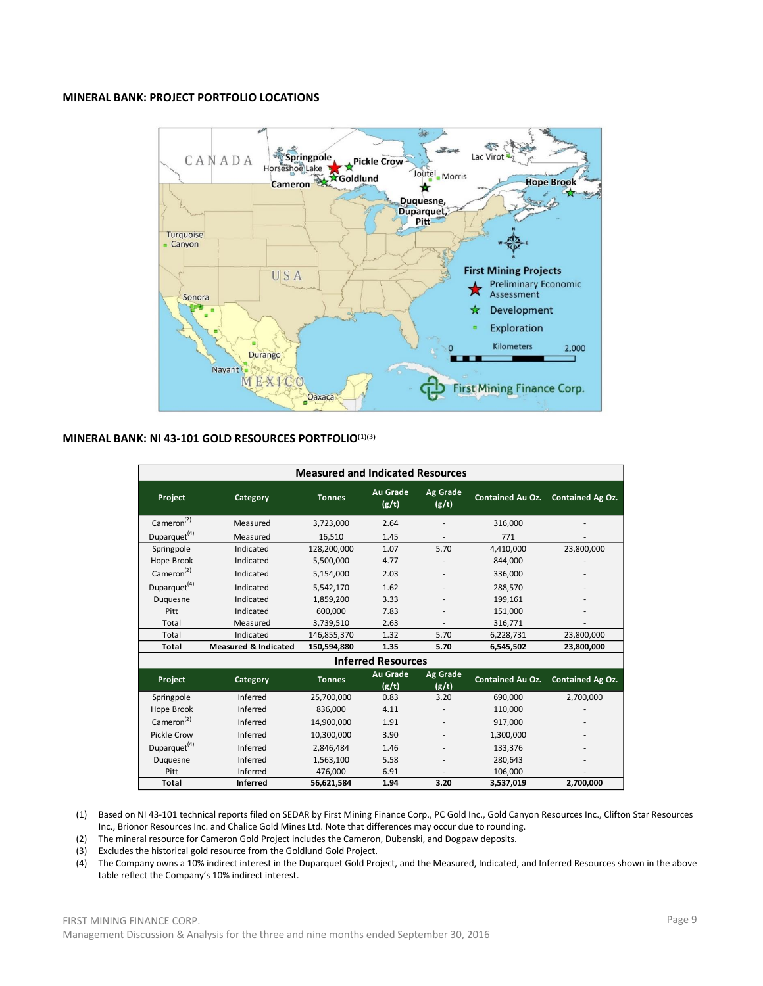### **MINERAL BANK: PROJECT PORTFOLIO LOCATIONS**



#### **MINERAL BANK: NI 43-101 GOLD RESOURCES PORTFOLIO(1)(3)**

|                          |                                 | <b>Measured and Indicated Resources</b> |                           |                          |                         |                  |
|--------------------------|---------------------------------|-----------------------------------------|---------------------------|--------------------------|-------------------------|------------------|
| Project                  | Category                        | <b>Tonnes</b>                           | <b>Au Grade</b><br>(g/t)  | Ag Grade<br>(g/t)        | <b>Contained Au Oz.</b> | Contained Ag Oz. |
| Camen <sup>(2)</sup>     | Measured                        | 3,723,000                               | 2.64                      |                          | 316,000                 |                  |
| Duparquet <sup>(4)</sup> | Measured                        | 16,510                                  | 1.45                      |                          | 771                     |                  |
| Springpole               | Indicated                       | 128,200,000                             | 1.07                      | 5.70                     | 4,410,000               | 23,800,000       |
| Hope Brook               | Indicated                       | 5,500,000                               | 4.77                      |                          | 844,000                 |                  |
| Cameron <sup>(2)</sup>   | Indicated                       | 5,154,000                               | 2.03                      | $\overline{\phantom{a}}$ | 336,000                 |                  |
| Duparquet <sup>(4)</sup> | Indicated                       | 5,542,170                               | 1.62                      |                          | 288,570                 |                  |
| Duquesne                 | Indicated                       | 1,859,200                               | 3.33                      |                          | 199,161                 |                  |
| Pitt                     | Indicated                       | 600,000                                 | 7.83                      | $\overline{\phantom{a}}$ | 151,000                 |                  |
| Total                    | Measured                        | 3,739,510                               | 2.63                      | $\overline{a}$           | 316,771                 |                  |
| Total                    | Indicated                       | 146,855,370                             | 1.32                      | 5.70                     | 6,228,731               | 23,800,000       |
| Total                    | <b>Measured &amp; Indicated</b> | 150,594,880                             | 1.35                      | 5.70                     | 6,545,502               | 23,800,000       |
|                          |                                 |                                         | <b>Inferred Resources</b> |                          |                         |                  |
| Project                  | Category                        | <b>Tonnes</b>                           | <b>Au Grade</b><br>(g/t)  | Ag Grade<br>(g/t)        | <b>Contained Au Oz.</b> | Contained Ag Oz. |
| Springpole               | Inferred                        | 25,700,000                              | 0.83                      | 3.20                     | 690,000                 | 2,700,000        |
| Hope Brook               | Inferred                        | 836,000                                 | 4.11                      |                          | 110,000                 |                  |
| Cameron <sup>(2)</sup>   | Inferred                        | 14,900,000                              | 1.91                      |                          | 917,000                 |                  |
| <b>Pickle Crow</b>       | Inferred                        | 10,300,000                              | 3.90                      | ٠                        | 1,300,000               |                  |
| Duparquet <sup>(4)</sup> | Inferred                        | 2,846,484                               | 1.46                      |                          | 133,376                 |                  |
| Duquesne                 | Inferred                        | 1,563,100                               | 5.58                      |                          | 280,643                 |                  |
| Pitt                     | Inferred                        | 476,000                                 | 6.91                      |                          | 106,000                 |                  |
| <b>Total</b>             | <b>Inferred</b>                 | 56,621,584                              | 1.94                      | 3.20                     | 3,537,019               | 2,700,000        |

(1) Based on NI 43-101 technical reports filed on SEDAR by First Mining Finance Corp., PC Gold Inc., Gold Canyon Resources Inc., Clifton Star Resources Inc., Brionor Resources Inc. and Chalice Gold Mines Ltd. Note that differences may occur due to rounding.

(2) The mineral resource for Cameron Gold Project includes the Cameron, Dubenski, and Dogpaw deposits.

(3) Excludes the historical gold resource from the Goldlund Gold Project.

(4) The Company owns a 10% indirect interest in the Duparquet Gold Project, and the Measured, Indicated, and Inferred Resources shown in the above table reflect the Company's 10% indirect interest.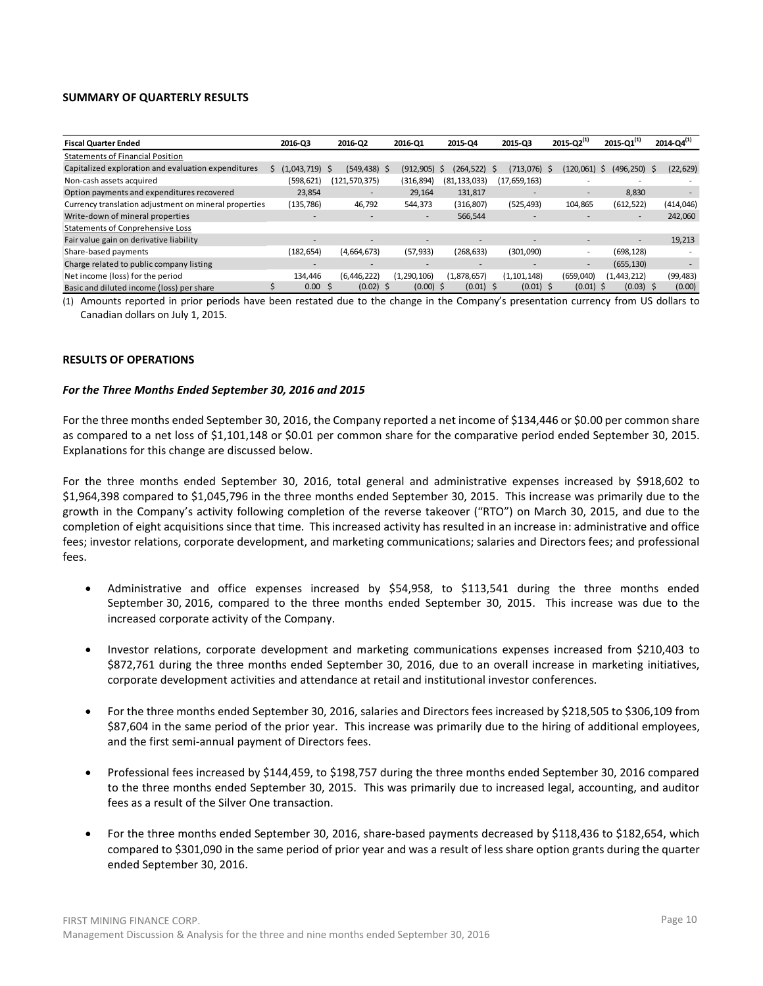#### **SUMMARY OF QUARTERLY RESULTS**

| <b>Fiscal Quarter Ended</b>                           | 2016-03           | 2016-02                  | 2016-01                  | 2015-Q4           | 2015-Q3      | 2015-Q2 $^{(1)}$         | 2015-Q1 $^{(1)}$           | 2014-Q4 $^{(1)}$          |
|-------------------------------------------------------|-------------------|--------------------------|--------------------------|-------------------|--------------|--------------------------|----------------------------|---------------------------|
| <b>Statements of Financial Position</b>               |                   |                          |                          |                   |              |                          |                            |                           |
| Capitalized exploration and evaluation expenditures   | (1,043,719)       | $(549.438)$ \$<br>-S     | (912.905)                | (264.522) \$<br>S | (713.076) \$ | (120, 061)               | (496, 250)<br><sub>S</sub> | (22, 629)<br><sub>S</sub> |
| Non-cash assets acquired                              | (598, 621)        | (121,570,375)            | (316, 894)               | (81, 133, 033)    | (17,659,163) |                          | $\overline{\phantom{a}}$   |                           |
| Option payments and expenditures recovered            | 23,854            | $\overline{\phantom{a}}$ | 29.164                   | 131,817           |              | $\overline{\phantom{a}}$ | 8,830                      |                           |
| Currency translation adjustment on mineral properties | (135, 786)        | 46,792                   | 544,373                  | (316, 807)        | (525, 493)   | 104,865                  | (612, 522)                 | (414, 046)                |
| Write-down of mineral properties                      | -                 | ٠                        | $\overline{\phantom{a}}$ | 566,544           |              | $\overline{\phantom{a}}$ | ۰                          | 242,060                   |
| <b>Statements of Conprehensive Loss</b>               |                   |                          |                          |                   |              |                          |                            |                           |
| Fair value gain on derivative liability               | ۰                 |                          |                          |                   |              |                          | ۰                          | 19,213                    |
| Share-based payments                                  | (182, 654)        | (4,664,673)              | (57, 933)                | (268, 633)        | (301,090)    | $\overline{\phantom{a}}$ | (698, 128)                 |                           |
| Charge related to public company listing              | ۰                 |                          |                          |                   |              | $\overline{\phantom{a}}$ | (655, 130)                 |                           |
| Net income (loss) for the period                      | 134.446           | (6, 446, 222)            | (1, 290, 106)            | (1,878,657)       | (1,101,148)  | (659,040)                | (1, 443, 212)              | (99, 483)                 |
| Basic and diluted income (loss) per share             | 0.00 <sub>1</sub> | $(0.02)$ \$<br>-S        | $(0.00)$ \$              | $(0.01)$ \$       | $(0.01)$ \$  | $(0.01)$ \$              | $(0.03)$ \$                | (0.00)                    |

(1) Amounts reported in prior periods have been restated due to the change in the Company's presentation currency from US dollars to Canadian dollars on July 1, 2015.

#### **RESULTS OF OPERATIONS**

#### *For the Three Months Ended September 30, 2016 and 2015*

For the three months ended September 30, 2016, the Company reported a net income of \$134,446 or \$0.00 per common share as compared to a net loss of \$1,101,148 or \$0.01 per common share for the comparative period ended September 30, 2015. Explanations for this change are discussed below.

For the three months ended September 30, 2016, total general and administrative expenses increased by \$918,602 to \$1,964,398 compared to \$1,045,796 in the three months ended September 30, 2015. This increase was primarily due to the growth in the Company's activity following completion of the reverse takeover ("RTO") on March 30, 2015, and due to the completion of eight acquisitions since that time. This increased activity has resulted in an increase in: administrative and office fees; investor relations, corporate development, and marketing communications; salaries and Directors fees; and professional fees.

- Administrative and office expenses increased by \$54,958, to \$113,541 during the three months ended September 30, 2016, compared to the three months ended September 30, 2015. This increase was due to the increased corporate activity of the Company.
- Investor relations, corporate development and marketing communications expenses increased from \$210,403 to \$872,761 during the three months ended September 30, 2016, due to an overall increase in marketing initiatives, corporate development activities and attendance at retail and institutional investor conferences.
- For the three months ended September 30, 2016, salaries and Directors fees increased by \$218,505 to \$306,109 from \$87,604 in the same period of the prior year. This increase was primarily due to the hiring of additional employees, and the first semi-annual payment of Directors fees.
- Professional fees increased by \$144,459, to \$198,757 during the three months ended September 30, 2016 compared to the three months ended September 30, 2015. This was primarily due to increased legal, accounting, and auditor fees as a result of the Silver One transaction.
- For the three months ended September 30, 2016, share-based payments decreased by \$118,436 to \$182,654, which compared to \$301,090 in the same period of prior year and was a result of less share option grants during the quarter ended September 30, 2016.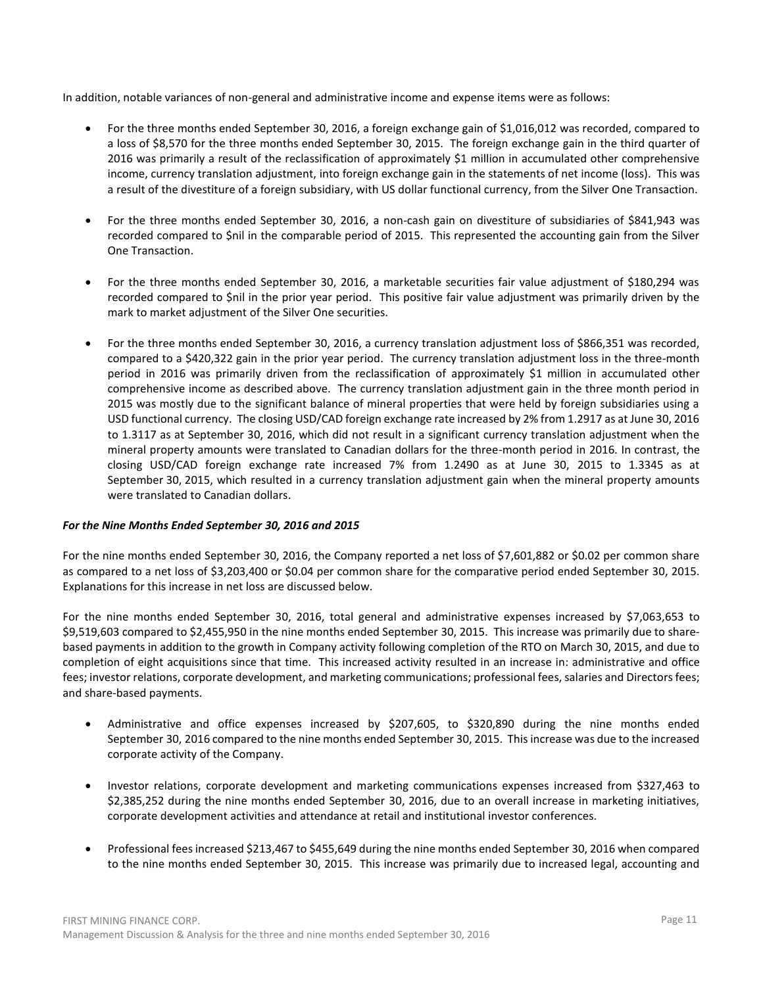In addition, notable variances of non-general and administrative income and expense items were as follows:

- For the three months ended September 30, 2016, a foreign exchange gain of \$1,016,012 was recorded, compared to a loss of \$8,570 for the three months ended September 30, 2015. The foreign exchange gain in the third quarter of 2016 was primarily a result of the reclassification of approximately \$1 million in accumulated other comprehensive income, currency translation adjustment, into foreign exchange gain in the statements of net income (loss). This was a result of the divestiture of a foreign subsidiary, with US dollar functional currency, from the Silver One Transaction.
- For the three months ended September 30, 2016, a non-cash gain on divestiture of subsidiaries of \$841,943 was recorded compared to \$nil in the comparable period of 2015. This represented the accounting gain from the Silver One Transaction.
- For the three months ended September 30, 2016, a marketable securities fair value adjustment of \$180,294 was recorded compared to \$nil in the prior year period. This positive fair value adjustment was primarily driven by the mark to market adjustment of the Silver One securities.
- For the three months ended September 30, 2016, a currency translation adjustment loss of \$866,351 was recorded, compared to a \$420,322 gain in the prior year period. The currency translation adjustment loss in the three-month period in 2016 was primarily driven from the reclassification of approximately \$1 million in accumulated other comprehensive income as described above. The currency translation adjustment gain in the three month period in 2015 was mostly due to the significant balance of mineral properties that were held by foreign subsidiaries using a USD functional currency. The closing USD/CAD foreign exchange rate increased by 2% from 1.2917 as at June 30, 2016 to 1.3117 as at September 30, 2016, which did not result in a significant currency translation adjustment when the mineral property amounts were translated to Canadian dollars for the three-month period in 2016. In contrast, the closing USD/CAD foreign exchange rate increased 7% from 1.2490 as at June 30, 2015 to 1.3345 as at September 30, 2015, which resulted in a currency translation adjustment gain when the mineral property amounts were translated to Canadian dollars.

# *For the Nine Months Ended September 30, 2016 and 2015*

For the nine months ended September 30, 2016, the Company reported a net loss of \$7,601,882 or \$0.02 per common share as compared to a net loss of \$3,203,400 or \$0.04 per common share for the comparative period ended September 30, 2015. Explanations for this increase in net loss are discussed below.

For the nine months ended September 30, 2016, total general and administrative expenses increased by \$7,063,653 to \$9,519,603 compared to \$2,455,950 in the nine months ended September 30, 2015. This increase was primarily due to sharebased payments in addition to the growth in Company activity following completion of the RTO on March 30, 2015, and due to completion of eight acquisitions since that time. This increased activity resulted in an increase in: administrative and office fees; investor relations, corporate development, and marketing communications; professional fees, salaries and Directors fees; and share-based payments.

- Administrative and office expenses increased by \$207,605, to \$320,890 during the nine months ended September 30, 2016 compared to the nine months ended September 30, 2015. This increase was due to the increased corporate activity of the Company.
- Investor relations, corporate development and marketing communications expenses increased from \$327,463 to \$2,385,252 during the nine months ended September 30, 2016, due to an overall increase in marketing initiatives, corporate development activities and attendance at retail and institutional investor conferences.
- Professional fees increased \$213,467 to \$455,649 during the nine months ended September 30, 2016 when compared to the nine months ended September 30, 2015. This increase was primarily due to increased legal, accounting and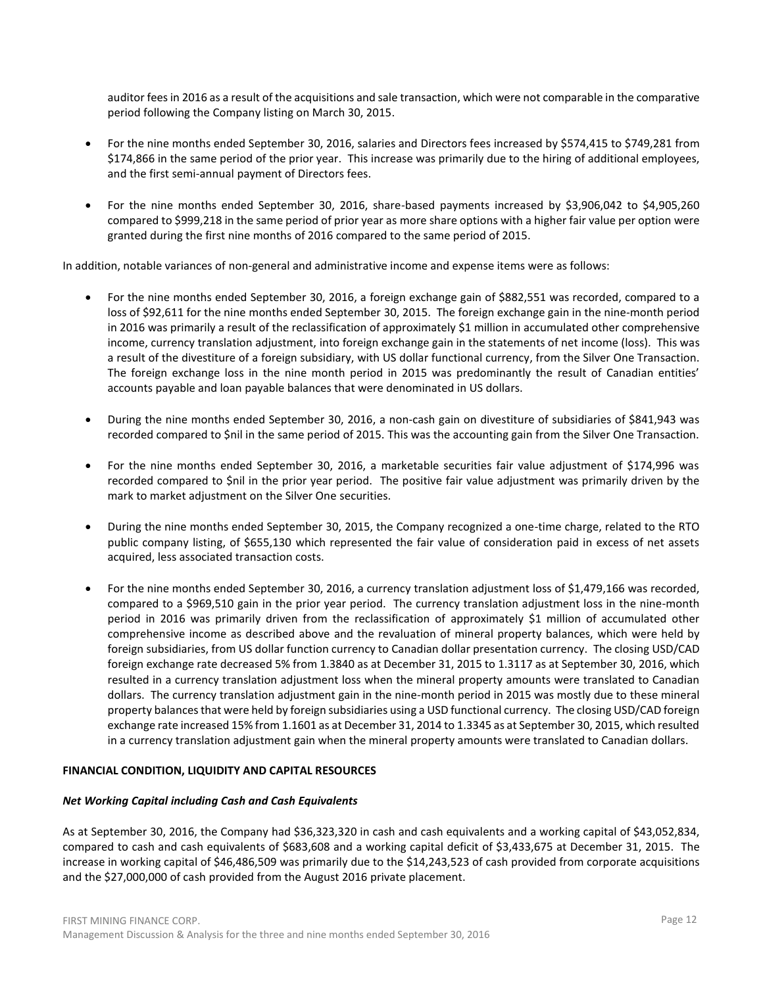auditor fees in 2016 as a result of the acquisitions and sale transaction, which were not comparable in the comparative period following the Company listing on March 30, 2015.

- For the nine months ended September 30, 2016, salaries and Directors fees increased by \$574,415 to \$749,281 from \$174,866 in the same period of the prior year. This increase was primarily due to the hiring of additional employees, and the first semi-annual payment of Directors fees.
- For the nine months ended September 30, 2016, share-based payments increased by \$3,906,042 to \$4,905,260 compared to \$999,218 in the same period of prior year as more share options with a higher fair value per option were granted during the first nine months of 2016 compared to the same period of 2015.

In addition, notable variances of non-general and administrative income and expense items were as follows:

- For the nine months ended September 30, 2016, a foreign exchange gain of \$882,551 was recorded, compared to a loss of \$92,611 for the nine months ended September 30, 2015. The foreign exchange gain in the nine-month period in 2016 was primarily a result of the reclassification of approximately \$1 million in accumulated other comprehensive income, currency translation adjustment, into foreign exchange gain in the statements of net income (loss). This was a result of the divestiture of a foreign subsidiary, with US dollar functional currency, from the Silver One Transaction. The foreign exchange loss in the nine month period in 2015 was predominantly the result of Canadian entities' accounts payable and loan payable balances that were denominated in US dollars.
- During the nine months ended September 30, 2016, a non-cash gain on divestiture of subsidiaries of \$841,943 was recorded compared to \$nil in the same period of 2015. This was the accounting gain from the Silver One Transaction.
- For the nine months ended September 30, 2016, a marketable securities fair value adjustment of \$174,996 was recorded compared to \$nil in the prior year period. The positive fair value adjustment was primarily driven by the mark to market adjustment on the Silver One securities.
- During the nine months ended September 30, 2015, the Company recognized a one-time charge, related to the RTO public company listing, of \$655,130 which represented the fair value of consideration paid in excess of net assets acquired, less associated transaction costs.
- For the nine months ended September 30, 2016, a currency translation adjustment loss of \$1,479,166 was recorded, compared to a \$969,510 gain in the prior year period. The currency translation adjustment loss in the nine-month period in 2016 was primarily driven from the reclassification of approximately \$1 million of accumulated other comprehensive income as described above and the revaluation of mineral property balances, which were held by foreign subsidiaries, from US dollar function currency to Canadian dollar presentation currency. The closing USD/CAD foreign exchange rate decreased 5% from 1.3840 as at December 31, 2015 to 1.3117 as at September 30, 2016, which resulted in a currency translation adjustment loss when the mineral property amounts were translated to Canadian dollars. The currency translation adjustment gain in the nine-month period in 2015 was mostly due to these mineral property balances that were held by foreign subsidiaries using a USD functional currency. The closing USD/CAD foreign exchange rate increased 15% from 1.1601 as at December 31, 2014 to 1.3345 as at September 30, 2015, which resulted in a currency translation adjustment gain when the mineral property amounts were translated to Canadian dollars.

# **FINANCIAL CONDITION, LIQUIDITY AND CAPITAL RESOURCES**

# *Net Working Capital including Cash and Cash Equivalents*

As at September 30, 2016, the Company had \$36,323,320 in cash and cash equivalents and a working capital of \$43,052,834, compared to cash and cash equivalents of \$683,608 and a working capital deficit of \$3,433,675 at December 31, 2015. The increase in working capital of \$46,486,509 was primarily due to the \$14,243,523 of cash provided from corporate acquisitions and the \$27,000,000 of cash provided from the August 2016 private placement.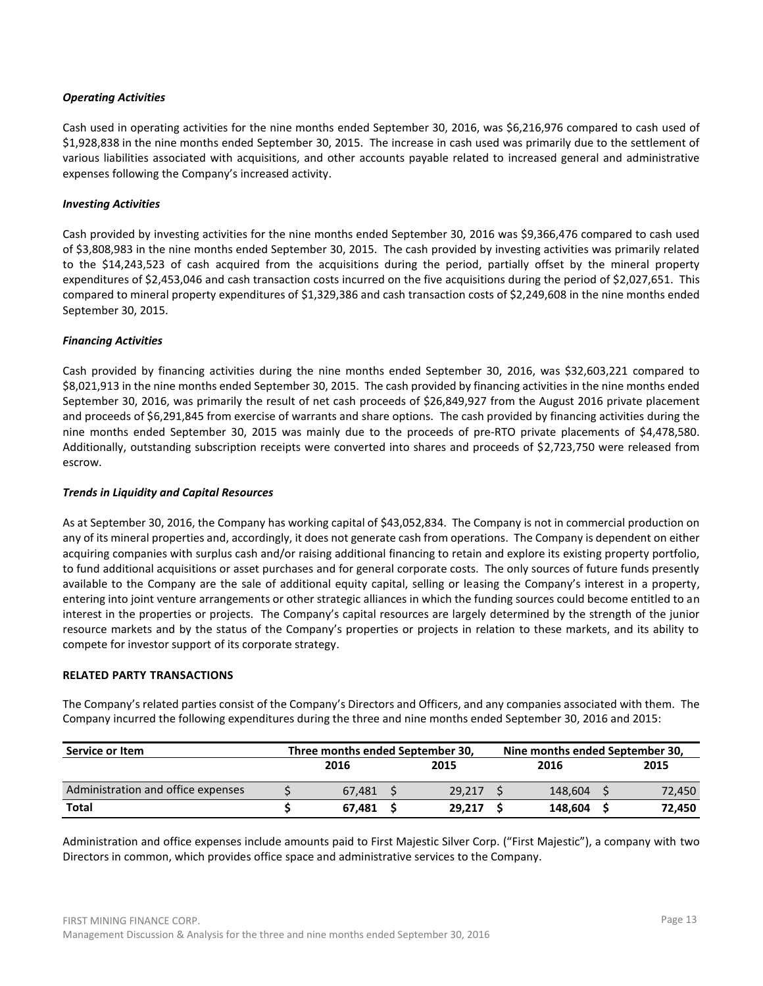## *Operating Activities*

Cash used in operating activities for the nine months ended September 30, 2016, was \$6,216,976 compared to cash used of \$1,928,838 in the nine months ended September 30, 2015. The increase in cash used was primarily due to the settlement of various liabilities associated with acquisitions, and other accounts payable related to increased general and administrative expenses following the Company's increased activity.

## *Investing Activities*

Cash provided by investing activities for the nine months ended September 30, 2016 was \$9,366,476 compared to cash used of \$3,808,983 in the nine months ended September 30, 2015. The cash provided by investing activities was primarily related to the \$14,243,523 of cash acquired from the acquisitions during the period, partially offset by the mineral property expenditures of \$2,453,046 and cash transaction costs incurred on the five acquisitions during the period of \$2,027,651. This compared to mineral property expenditures of \$1,329,386 and cash transaction costs of \$2,249,608 in the nine months ended September 30, 2015.

### *Financing Activities*

Cash provided by financing activities during the nine months ended September 30, 2016, was \$32,603,221 compared to \$8,021,913 in the nine months ended September 30, 2015. The cash provided by financing activities in the nine months ended September 30, 2016, was primarily the result of net cash proceeds of \$26,849,927 from the August 2016 private placement and proceeds of \$6,291,845 from exercise of warrants and share options. The cash provided by financing activities during the nine months ended September 30, 2015 was mainly due to the proceeds of pre-RTO private placements of \$4,478,580. Additionally, outstanding subscription receipts were converted into shares and proceeds of \$2,723,750 were released from escrow.

### *Trends in Liquidity and Capital Resources*

As at September 30, 2016, the Company has working capital of \$43,052,834. The Company is not in commercial production on any of its mineral properties and, accordingly, it does not generate cash from operations. The Company is dependent on either acquiring companies with surplus cash and/or raising additional financing to retain and explore its existing property portfolio, to fund additional acquisitions or asset purchases and for general corporate costs. The only sources of future funds presently available to the Company are the sale of additional equity capital, selling or leasing the Company's interest in a property, entering into joint venture arrangements or other strategic alliances in which the funding sources could become entitled to an interest in the properties or projects. The Company's capital resources are largely determined by the strength of the junior resource markets and by the status of the Company's properties or projects in relation to these markets, and its ability to compete for investor support of its corporate strategy.

#### **RELATED PARTY TRANSACTIONS**

The Company's related parties consist of the Company's Directors and Officers, and any companies associated with them. The Company incurred the following expenditures during the three and nine months ended September 30, 2016 and 2015:

| Service or Item                    | Three months ended September 30, |        | Nine months ended September 30, |  |        |  |  |  |  |  |  |
|------------------------------------|----------------------------------|--------|---------------------------------|--|--------|--|--|--|--|--|--|
|                                    | 2016                             | 2015   | 2016                            |  | 2015   |  |  |  |  |  |  |
| Administration and office expenses | 67.481                           | 29.217 | 148.604                         |  | 72,450 |  |  |  |  |  |  |
| <b>Total</b>                       | 67.481                           | 29.217 | 148.604                         |  | 72.450 |  |  |  |  |  |  |

Administration and office expenses include amounts paid to First Majestic Silver Corp. ("First Majestic"), a company with two Directors in common, which provides office space and administrative services to the Company.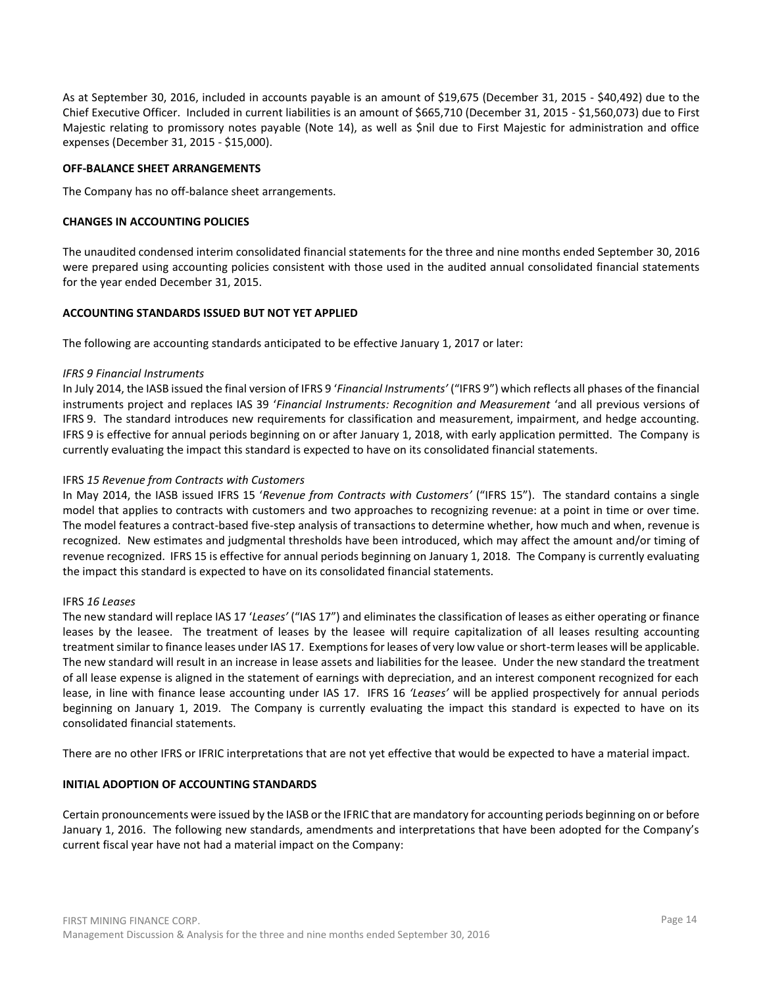As at September 30, 2016, included in accounts payable is an amount of \$19,675 (December 31, 2015 - \$40,492) due to the Chief Executive Officer. Included in current liabilities is an amount of \$665,710 (December 31, 2015 - \$1,560,073) due to First Majestic relating to promissory notes payable (Note 14), as well as \$nil due to First Majestic for administration and office expenses (December 31, 2015 - \$15,000).

### **OFF-BALANCE SHEET ARRANGEMENTS**

The Company has no off-balance sheet arrangements.

### **CHANGES IN ACCOUNTING POLICIES**

The unaudited condensed interim consolidated financial statements for the three and nine months ended September 30, 2016 were prepared using accounting policies consistent with those used in the audited annual consolidated financial statements for the year ended December 31, 2015.

### **ACCOUNTING STANDARDS ISSUED BUT NOT YET APPLIED**

The following are accounting standards anticipated to be effective January 1, 2017 or later:

#### *IFRS 9 Financial Instruments*

In July 2014, the IASB issued the final version of IFRS 9 '*Financial Instruments'* ("IFRS 9") which reflects all phases of the financial instruments project and replaces IAS 39 '*Financial Instruments: Recognition and Measurement* 'and all previous versions of IFRS 9. The standard introduces new requirements for classification and measurement, impairment, and hedge accounting. IFRS 9 is effective for annual periods beginning on or after January 1, 2018, with early application permitted. The Company is currently evaluating the impact this standard is expected to have on its consolidated financial statements.

### IFRS *15 Revenue from Contracts with Customers*

In May 2014, the IASB issued IFRS 15 '*Revenue from Contracts with Customers'* ("IFRS 15"). The standard contains a single model that applies to contracts with customers and two approaches to recognizing revenue: at a point in time or over time. The model features a contract-based five-step analysis of transactions to determine whether, how much and when, revenue is recognized. New estimates and judgmental thresholds have been introduced, which may affect the amount and/or timing of revenue recognized. IFRS 15 is effective for annual periods beginning on January 1, 2018. The Company is currently evaluating the impact this standard is expected to have on its consolidated financial statements.

#### IFRS *16 Leases*

The new standard will replace IAS 17 '*Leases'* ("IAS 17") and eliminates the classification of leases as either operating or finance leases by the leasee. The treatment of leases by the leasee will require capitalization of all leases resulting accounting treatment similar to finance leases under IAS 17. Exemptions for leases of very low value or short-term leases will be applicable. The new standard will result in an increase in lease assets and liabilities for the leasee. Under the new standard the treatment of all lease expense is aligned in the statement of earnings with depreciation, and an interest component recognized for each lease, in line with finance lease accounting under IAS 17. IFRS 16 *'Leases'* will be applied prospectively for annual periods beginning on January 1, 2019. The Company is currently evaluating the impact this standard is expected to have on its consolidated financial statements.

There are no other IFRS or IFRIC interpretations that are not yet effective that would be expected to have a material impact.

#### **INITIAL ADOPTION OF ACCOUNTING STANDARDS**

Certain pronouncements were issued by the IASB or the IFRIC that are mandatory for accounting periods beginning on or before January 1, 2016. The following new standards, amendments and interpretations that have been adopted for the Company's current fiscal year have not had a material impact on the Company: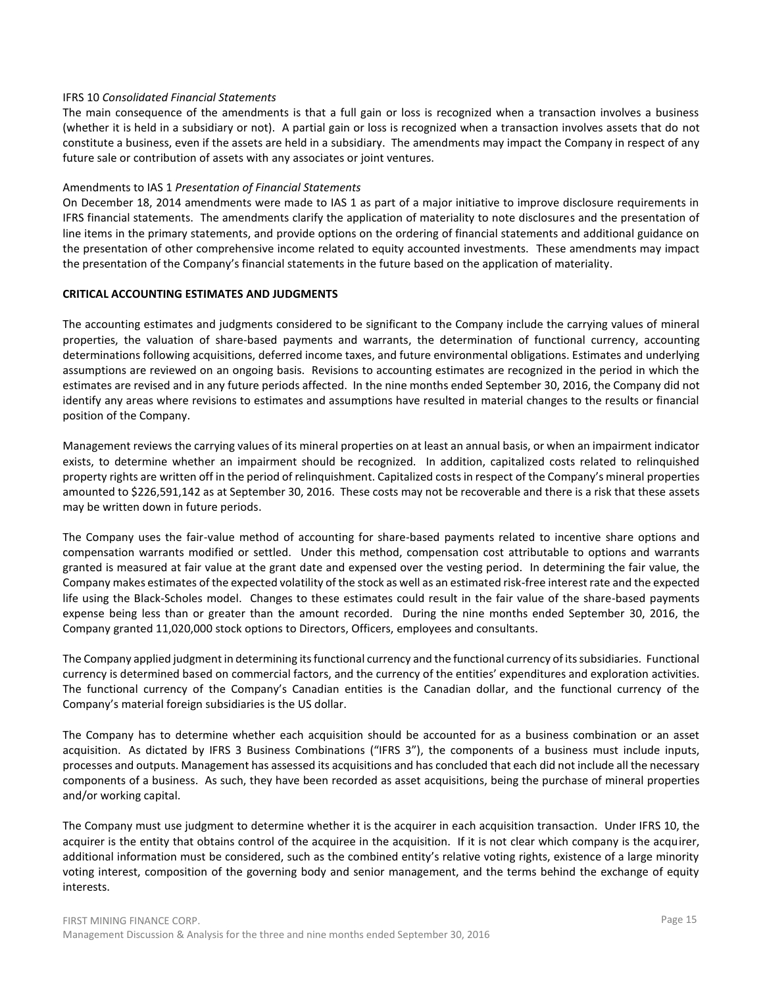### IFRS 10 *Consolidated Financial Statements*

The main consequence of the amendments is that a full gain or loss is recognized when a transaction involves a business (whether it is held in a subsidiary or not). A partial gain or loss is recognized when a transaction involves assets that do not constitute a business, even if the assets are held in a subsidiary. The amendments may impact the Company in respect of any future sale or contribution of assets with any associates or joint ventures.

### Amendments to IAS 1 *Presentation of Financial Statements*

On December 18, 2014 amendments were made to IAS 1 as part of a major initiative to improve disclosure requirements in IFRS financial statements. The amendments clarify the application of materiality to note disclosures and the presentation of line items in the primary statements, and provide options on the ordering of financial statements and additional guidance on the presentation of other comprehensive income related to equity accounted investments. These amendments may impact the presentation of the Company's financial statements in the future based on the application of materiality.

## **CRITICAL ACCOUNTING ESTIMATES AND JUDGMENTS**

The accounting estimates and judgments considered to be significant to the Company include the carrying values of mineral properties, the valuation of share-based payments and warrants, the determination of functional currency, accounting determinations following acquisitions, deferred income taxes, and future environmental obligations. Estimates and underlying assumptions are reviewed on an ongoing basis. Revisions to accounting estimates are recognized in the period in which the estimates are revised and in any future periods affected. In the nine months ended September 30, 2016, the Company did not identify any areas where revisions to estimates and assumptions have resulted in material changes to the results or financial position of the Company.

Management reviews the carrying values of its mineral properties on at least an annual basis, or when an impairment indicator exists, to determine whether an impairment should be recognized. In addition, capitalized costs related to relinquished property rights are written off in the period of relinquishment. Capitalized costs in respect of the Company's mineral properties amounted to \$226,591,142 as at September 30, 2016. These costs may not be recoverable and there is a risk that these assets may be written down in future periods.

The Company uses the fair-value method of accounting for share-based payments related to incentive share options and compensation warrants modified or settled. Under this method, compensation cost attributable to options and warrants granted is measured at fair value at the grant date and expensed over the vesting period. In determining the fair value, the Company makes estimates of the expected volatility of the stock as well as an estimated risk-free interest rate and the expected life using the Black-Scholes model. Changes to these estimates could result in the fair value of the share-based payments expense being less than or greater than the amount recorded. During the nine months ended September 30, 2016, the Company granted 11,020,000 stock options to Directors, Officers, employees and consultants.

The Company applied judgment in determining its functional currency and the functional currency of its subsidiaries. Functional currency is determined based on commercial factors, and the currency of the entities' expenditures and exploration activities. The functional currency of the Company's Canadian entities is the Canadian dollar, and the functional currency of the Company's material foreign subsidiaries is the US dollar.

The Company has to determine whether each acquisition should be accounted for as a business combination or an asset acquisition. As dictated by IFRS 3 Business Combinations ("IFRS 3"), the components of a business must include inputs, processes and outputs. Management has assessed its acquisitions and has concluded that each did not include all the necessary components of a business. As such, they have been recorded as asset acquisitions, being the purchase of mineral properties and/or working capital.

The Company must use judgment to determine whether it is the acquirer in each acquisition transaction. Under IFRS 10, the acquirer is the entity that obtains control of the acquiree in the acquisition. If it is not clear which company is the acquirer, additional information must be considered, such as the combined entity's relative voting rights, existence of a large minority voting interest, composition of the governing body and senior management, and the terms behind the exchange of equity interests.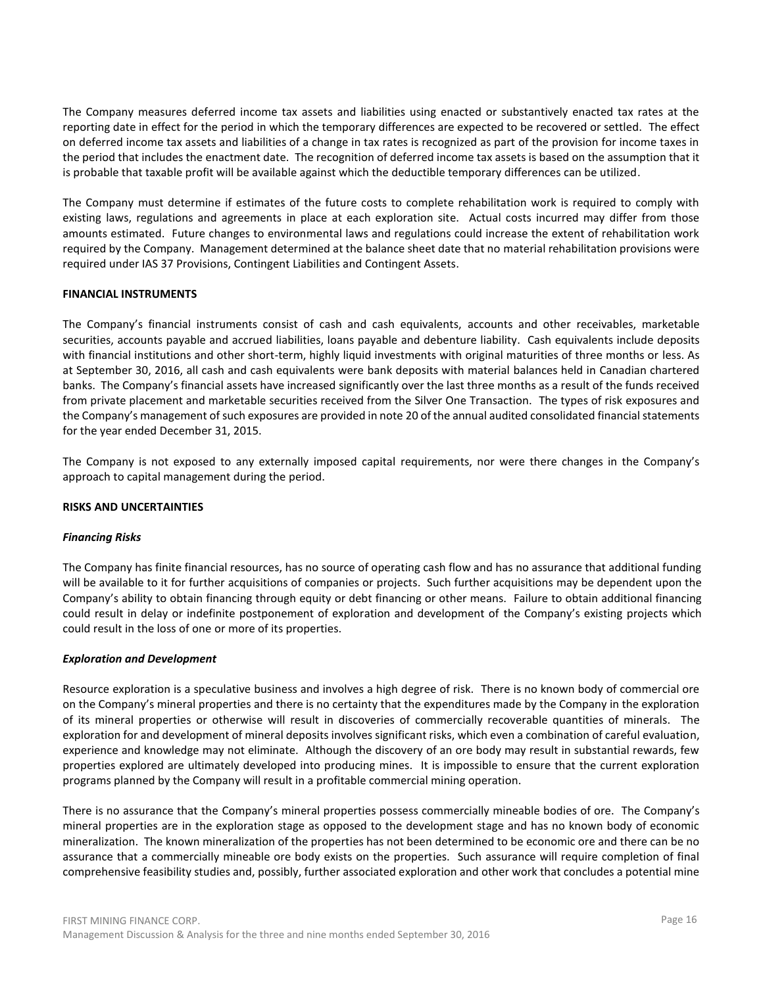The Company measures deferred income tax assets and liabilities using enacted or substantively enacted tax rates at the reporting date in effect for the period in which the temporary differences are expected to be recovered or settled. The effect on deferred income tax assets and liabilities of a change in tax rates is recognized as part of the provision for income taxes in the period that includes the enactment date. The recognition of deferred income tax assets is based on the assumption that it is probable that taxable profit will be available against which the deductible temporary differences can be utilized.

The Company must determine if estimates of the future costs to complete rehabilitation work is required to comply with existing laws, regulations and agreements in place at each exploration site. Actual costs incurred may differ from those amounts estimated. Future changes to environmental laws and regulations could increase the extent of rehabilitation work required by the Company. Management determined at the balance sheet date that no material rehabilitation provisions were required under IAS 37 Provisions, Contingent Liabilities and Contingent Assets.

### **FINANCIAL INSTRUMENTS**

The Company's financial instruments consist of cash and cash equivalents, accounts and other receivables, marketable securities, accounts payable and accrued liabilities, loans payable and debenture liability. Cash equivalents include deposits with financial institutions and other short-term, highly liquid investments with original maturities of three months or less. As at September 30, 2016, all cash and cash equivalents were bank deposits with material balances held in Canadian chartered banks. The Company's financial assets have increased significantly over the last three months as a result of the funds received from private placement and marketable securities received from the Silver One Transaction. The types of risk exposures and the Company's management of such exposures are provided in note 20 of the annual audited consolidated financial statements for the year ended December 31, 2015.

The Company is not exposed to any externally imposed capital requirements, nor were there changes in the Company's approach to capital management during the period.

#### **RISKS AND UNCERTAINTIES**

#### *Financing Risks*

The Company has finite financial resources, has no source of operating cash flow and has no assurance that additional funding will be available to it for further acquisitions of companies or projects. Such further acquisitions may be dependent upon the Company's ability to obtain financing through equity or debt financing or other means. Failure to obtain additional financing could result in delay or indefinite postponement of exploration and development of the Company's existing projects which could result in the loss of one or more of its properties.

#### *Exploration and Development*

Resource exploration is a speculative business and involves a high degree of risk. There is no known body of commercial ore on the Company's mineral properties and there is no certainty that the expenditures made by the Company in the exploration of its mineral properties or otherwise will result in discoveries of commercially recoverable quantities of minerals. The exploration for and development of mineral deposits involves significant risks, which even a combination of careful evaluation, experience and knowledge may not eliminate. Although the discovery of an ore body may result in substantial rewards, few properties explored are ultimately developed into producing mines. It is impossible to ensure that the current exploration programs planned by the Company will result in a profitable commercial mining operation.

There is no assurance that the Company's mineral properties possess commercially mineable bodies of ore. The Company's mineral properties are in the exploration stage as opposed to the development stage and has no known body of economic mineralization. The known mineralization of the properties has not been determined to be economic ore and there can be no assurance that a commercially mineable ore body exists on the properties. Such assurance will require completion of final comprehensive feasibility studies and, possibly, further associated exploration and other work that concludes a potential mine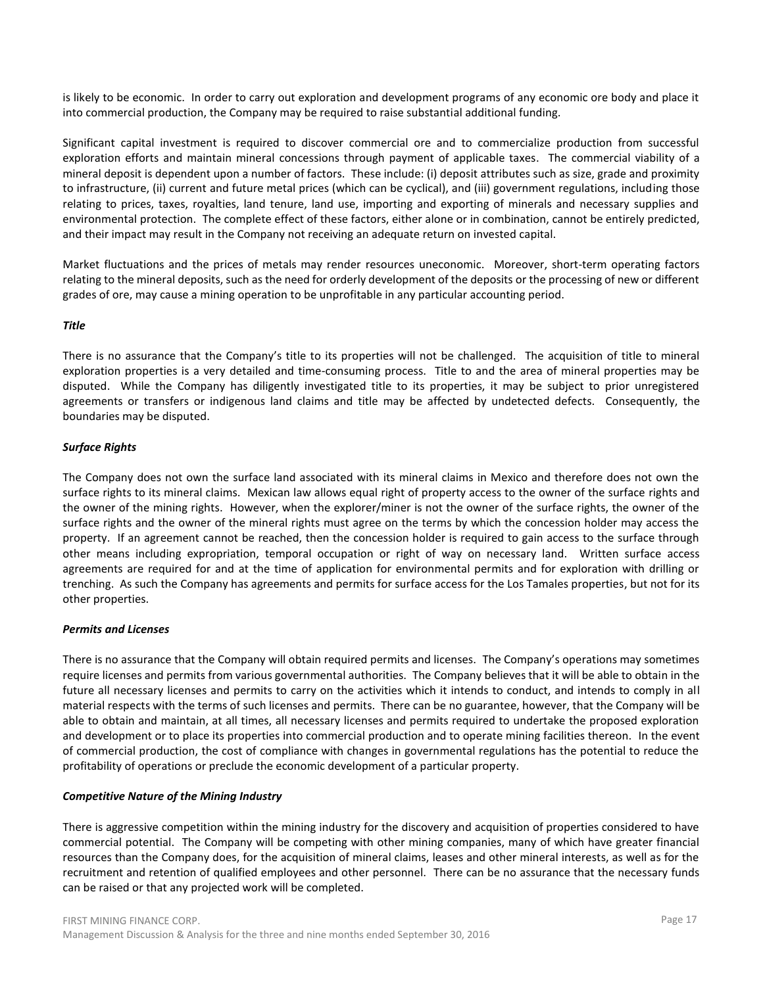is likely to be economic. In order to carry out exploration and development programs of any economic ore body and place it into commercial production, the Company may be required to raise substantial additional funding.

Significant capital investment is required to discover commercial ore and to commercialize production from successful exploration efforts and maintain mineral concessions through payment of applicable taxes. The commercial viability of a mineral deposit is dependent upon a number of factors. These include: (i) deposit attributes such as size, grade and proximity to infrastructure, (ii) current and future metal prices (which can be cyclical), and (iii) government regulations, including those relating to prices, taxes, royalties, land tenure, land use, importing and exporting of minerals and necessary supplies and environmental protection. The complete effect of these factors, either alone or in combination, cannot be entirely predicted, and their impact may result in the Company not receiving an adequate return on invested capital.

Market fluctuations and the prices of metals may render resources uneconomic. Moreover, short-term operating factors relating to the mineral deposits, such as the need for orderly development of the deposits or the processing of new or different grades of ore, may cause a mining operation to be unprofitable in any particular accounting period.

### *Title*

There is no assurance that the Company's title to its properties will not be challenged. The acquisition of title to mineral exploration properties is a very detailed and time-consuming process. Title to and the area of mineral properties may be disputed. While the Company has diligently investigated title to its properties, it may be subject to prior unregistered agreements or transfers or indigenous land claims and title may be affected by undetected defects. Consequently, the boundaries may be disputed.

### *Surface Rights*

The Company does not own the surface land associated with its mineral claims in Mexico and therefore does not own the surface rights to its mineral claims. Mexican law allows equal right of property access to the owner of the surface rights and the owner of the mining rights. However, when the explorer/miner is not the owner of the surface rights, the owner of the surface rights and the owner of the mineral rights must agree on the terms by which the concession holder may access the property. If an agreement cannot be reached, then the concession holder is required to gain access to the surface through other means including expropriation, temporal occupation or right of way on necessary land. Written surface access agreements are required for and at the time of application for environmental permits and for exploration with drilling or trenching. As such the Company has agreements and permits for surface access for the Los Tamales properties, but not for its other properties.

# *Permits and Licenses*

There is no assurance that the Company will obtain required permits and licenses. The Company's operations may sometimes require licenses and permits from various governmental authorities. The Company believes that it will be able to obtain in the future all necessary licenses and permits to carry on the activities which it intends to conduct, and intends to comply in all material respects with the terms of such licenses and permits. There can be no guarantee, however, that the Company will be able to obtain and maintain, at all times, all necessary licenses and permits required to undertake the proposed exploration and development or to place its properties into commercial production and to operate mining facilities thereon. In the event of commercial production, the cost of compliance with changes in governmental regulations has the potential to reduce the profitability of operations or preclude the economic development of a particular property.

#### *Competitive Nature of the Mining Industry*

There is aggressive competition within the mining industry for the discovery and acquisition of properties considered to have commercial potential. The Company will be competing with other mining companies, many of which have greater financial resources than the Company does, for the acquisition of mineral claims, leases and other mineral interests, as well as for the recruitment and retention of qualified employees and other personnel. There can be no assurance that the necessary funds can be raised or that any projected work will be completed.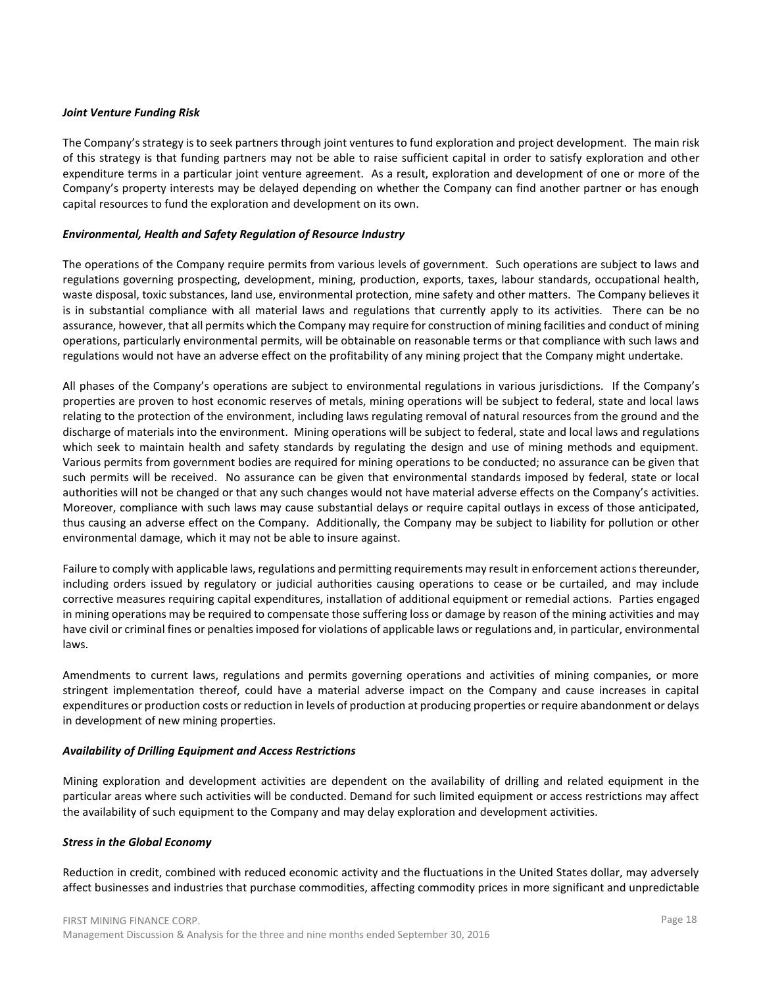### *Joint Venture Funding Risk*

The Company's strategy is to seek partners through joint ventures to fund exploration and project development. The main risk of this strategy is that funding partners may not be able to raise sufficient capital in order to satisfy exploration and other expenditure terms in a particular joint venture agreement. As a result, exploration and development of one or more of the Company's property interests may be delayed depending on whether the Company can find another partner or has enough capital resources to fund the exploration and development on its own.

### *Environmental, Health and Safety Regulation of Resource Industry*

The operations of the Company require permits from various levels of government. Such operations are subject to laws and regulations governing prospecting, development, mining, production, exports, taxes, labour standards, occupational health, waste disposal, toxic substances, land use, environmental protection, mine safety and other matters. The Company believes it is in substantial compliance with all material laws and regulations that currently apply to its activities. There can be no assurance, however, that all permits which the Company may require for construction of mining facilities and conduct of mining operations, particularly environmental permits, will be obtainable on reasonable terms or that compliance with such laws and regulations would not have an adverse effect on the profitability of any mining project that the Company might undertake.

All phases of the Company's operations are subject to environmental regulations in various jurisdictions. If the Company's properties are proven to host economic reserves of metals, mining operations will be subject to federal, state and local laws relating to the protection of the environment, including laws regulating removal of natural resources from the ground and the discharge of materials into the environment. Mining operations will be subject to federal, state and local laws and regulations which seek to maintain health and safety standards by regulating the design and use of mining methods and equipment. Various permits from government bodies are required for mining operations to be conducted; no assurance can be given that such permits will be received. No assurance can be given that environmental standards imposed by federal, state or local authorities will not be changed or that any such changes would not have material adverse effects on the Company's activities. Moreover, compliance with such laws may cause substantial delays or require capital outlays in excess of those anticipated, thus causing an adverse effect on the Company. Additionally, the Company may be subject to liability for pollution or other environmental damage, which it may not be able to insure against.

Failure to comply with applicable laws, regulations and permitting requirements may result in enforcement actions thereunder, including orders issued by regulatory or judicial authorities causing operations to cease or be curtailed, and may include corrective measures requiring capital expenditures, installation of additional equipment or remedial actions. Parties engaged in mining operations may be required to compensate those suffering loss or damage by reason of the mining activities and may have civil or criminal fines or penalties imposed for violations of applicable laws or regulations and, in particular, environmental laws.

Amendments to current laws, regulations and permits governing operations and activities of mining companies, or more stringent implementation thereof, could have a material adverse impact on the Company and cause increases in capital expenditures or production costs or reduction in levels of production at producing properties or require abandonment or delays in development of new mining properties.

#### *Availability of Drilling Equipment and Access Restrictions*

Mining exploration and development activities are dependent on the availability of drilling and related equipment in the particular areas where such activities will be conducted. Demand for such limited equipment or access restrictions may affect the availability of such equipment to the Company and may delay exploration and development activities.

# *Stress in the Global Economy*

Reduction in credit, combined with reduced economic activity and the fluctuations in the United States dollar, may adversely affect businesses and industries that purchase commodities, affecting commodity prices in more significant and unpredictable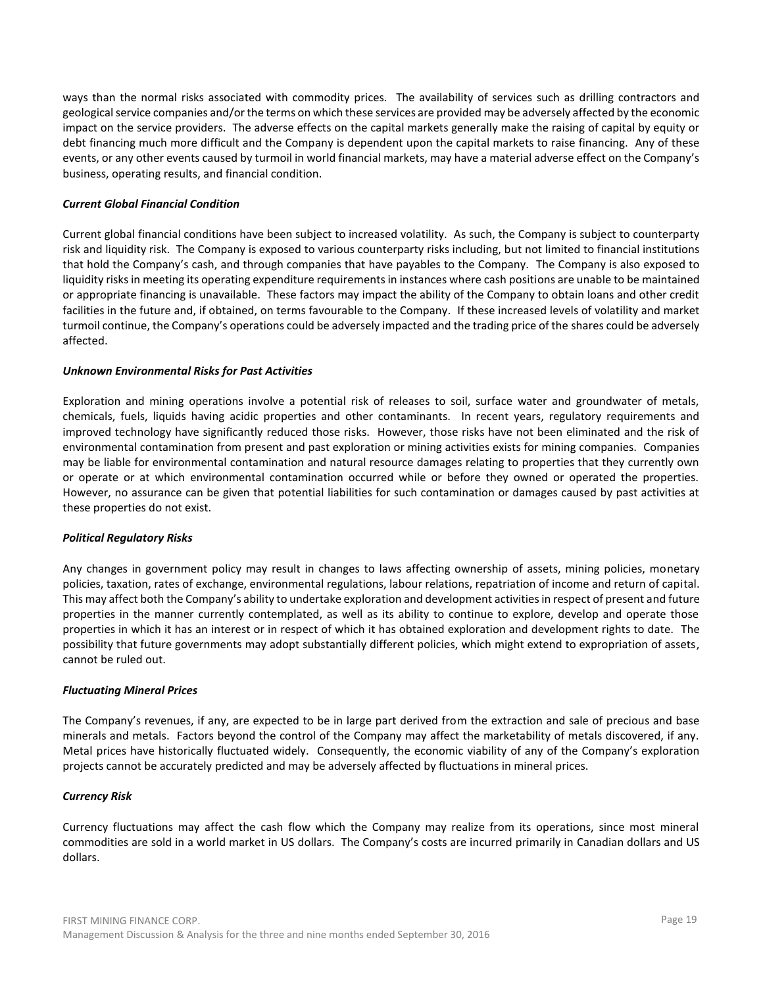ways than the normal risks associated with commodity prices. The availability of services such as drilling contractors and geological service companies and/or the terms on which these services are provided may be adversely affected by the economic impact on the service providers. The adverse effects on the capital markets generally make the raising of capital by equity or debt financing much more difficult and the Company is dependent upon the capital markets to raise financing. Any of these events, or any other events caused by turmoil in world financial markets, may have a material adverse effect on the Company's business, operating results, and financial condition.

### *Current Global Financial Condition*

Current global financial conditions have been subject to increased volatility. As such, the Company is subject to counterparty risk and liquidity risk. The Company is exposed to various counterparty risks including, but not limited to financial institutions that hold the Company's cash, and through companies that have payables to the Company. The Company is also exposed to liquidity risks in meeting its operating expenditure requirements in instances where cash positions are unable to be maintained or appropriate financing is unavailable. These factors may impact the ability of the Company to obtain loans and other credit facilities in the future and, if obtained, on terms favourable to the Company. If these increased levels of volatility and market turmoil continue, the Company's operations could be adversely impacted and the trading price of the shares could be adversely affected.

### *Unknown Environmental Risks for Past Activities*

Exploration and mining operations involve a potential risk of releases to soil, surface water and groundwater of metals, chemicals, fuels, liquids having acidic properties and other contaminants. In recent years, regulatory requirements and improved technology have significantly reduced those risks. However, those risks have not been eliminated and the risk of environmental contamination from present and past exploration or mining activities exists for mining companies. Companies may be liable for environmental contamination and natural resource damages relating to properties that they currently own or operate or at which environmental contamination occurred while or before they owned or operated the properties. However, no assurance can be given that potential liabilities for such contamination or damages caused by past activities at these properties do not exist.

#### *Political Regulatory Risks*

Any changes in government policy may result in changes to laws affecting ownership of assets, mining policies, monetary policies, taxation, rates of exchange, environmental regulations, labour relations, repatriation of income and return of capital. This may affect both the Company's ability to undertake exploration and development activities in respect of present and future properties in the manner currently contemplated, as well as its ability to continue to explore, develop and operate those properties in which it has an interest or in respect of which it has obtained exploration and development rights to date. The possibility that future governments may adopt substantially different policies, which might extend to expropriation of assets, cannot be ruled out.

#### *Fluctuating Mineral Prices*

The Company's revenues, if any, are expected to be in large part derived from the extraction and sale of precious and base minerals and metals. Factors beyond the control of the Company may affect the marketability of metals discovered, if any. Metal prices have historically fluctuated widely. Consequently, the economic viability of any of the Company's exploration projects cannot be accurately predicted and may be adversely affected by fluctuations in mineral prices.

#### *Currency Risk*

Currency fluctuations may affect the cash flow which the Company may realize from its operations, since most mineral commodities are sold in a world market in US dollars. The Company's costs are incurred primarily in Canadian dollars and US dollars.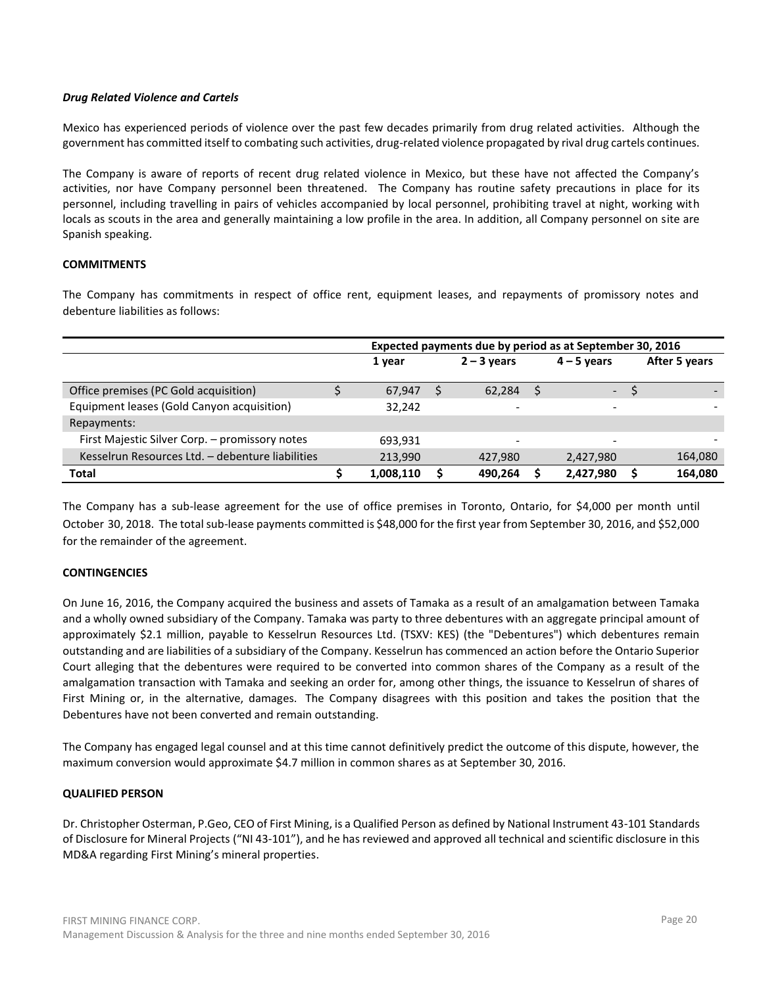## *Drug Related Violence and Cartels*

Mexico has experienced periods of violence over the past few decades primarily from drug related activities. Although the government has committed itself to combating such activities, drug-related violence propagated by rival drug cartels continues.

The Company is aware of reports of recent drug related violence in Mexico, but these have not affected the Company's activities, nor have Company personnel been threatened. The Company has routine safety precautions in place for its personnel, including travelling in pairs of vehicles accompanied by local personnel, prohibiting travel at night, working with locals as scouts in the area and generally maintaining a low profile in the area. In addition, all Company personnel on site are Spanish speaking.

# **COMMITMENTS**

The Company has commitments in respect of office rent, equipment leases, and repayments of promissory notes and debenture liabilities as follows:

|                                                  |           | Expected payments due by period as at September 30, 2016 |              |                          |               |
|--------------------------------------------------|-----------|----------------------------------------------------------|--------------|--------------------------|---------------|
|                                                  | 1 year    | $2 - 3$ years                                            |              | $4 - 5$ years            | After 5 years |
| Office premises (PC Gold acquisition)            | 67,947    | 62,284                                                   | <sub>S</sub> | $\overline{\phantom{a}}$ |               |
| Equipment leases (Gold Canyon acquisition)       | 32,242    | $\overline{\phantom{a}}$                                 |              | $\overline{\phantom{0}}$ |               |
| Repayments:                                      |           |                                                          |              |                          |               |
| First Majestic Silver Corp. - promissory notes   | 693.931   | $\overline{\phantom{a}}$                                 |              | $\overline{\phantom{0}}$ |               |
| Kesselrun Resources Ltd. - debenture liabilities | 213,990   | 427,980                                                  |              | 2,427,980                | 164,080       |
| <b>Total</b>                                     | 1,008,110 | 490.264                                                  |              | 2,427,980                | 164.080       |

The Company has a sub-lease agreement for the use of office premises in Toronto, Ontario, for \$4,000 per month until October 30, 2018. The total sub-lease payments committed is \$48,000 for the first year from September 30, 2016, and \$52,000 for the remainder of the agreement.

# **CONTINGENCIES**

On June 16, 2016, the Company acquired the business and assets of Tamaka as a result of an amalgamation between Tamaka and a wholly owned subsidiary of the Company. Tamaka was party to three debentures with an aggregate principal amount of approximately \$2.1 million, payable to Kesselrun Resources Ltd. (TSXV: KES) (the "Debentures") which debentures remain outstanding and are liabilities of a subsidiary of the Company. Kesselrun has commenced an action before the Ontario Superior Court alleging that the debentures were required to be converted into common shares of the Company as a result of the amalgamation transaction with Tamaka and seeking an order for, among other things, the issuance to Kesselrun of shares of First Mining or, in the alternative, damages. The Company disagrees with this position and takes the position that the Debentures have not been converted and remain outstanding.

The Company has engaged legal counsel and at this time cannot definitively predict the outcome of this dispute, however, the maximum conversion would approximate \$4.7 million in common shares as at September 30, 2016.

### **QUALIFIED PERSON**

Dr. Christopher Osterman, P.Geo, CEO of First Mining, is a Qualified Person as defined by National Instrument 43-101 Standards of Disclosure for Mineral Projects ("NI 43-101"), and he has reviewed and approved all technical and scientific disclosure in this MD&A regarding First Mining's mineral properties.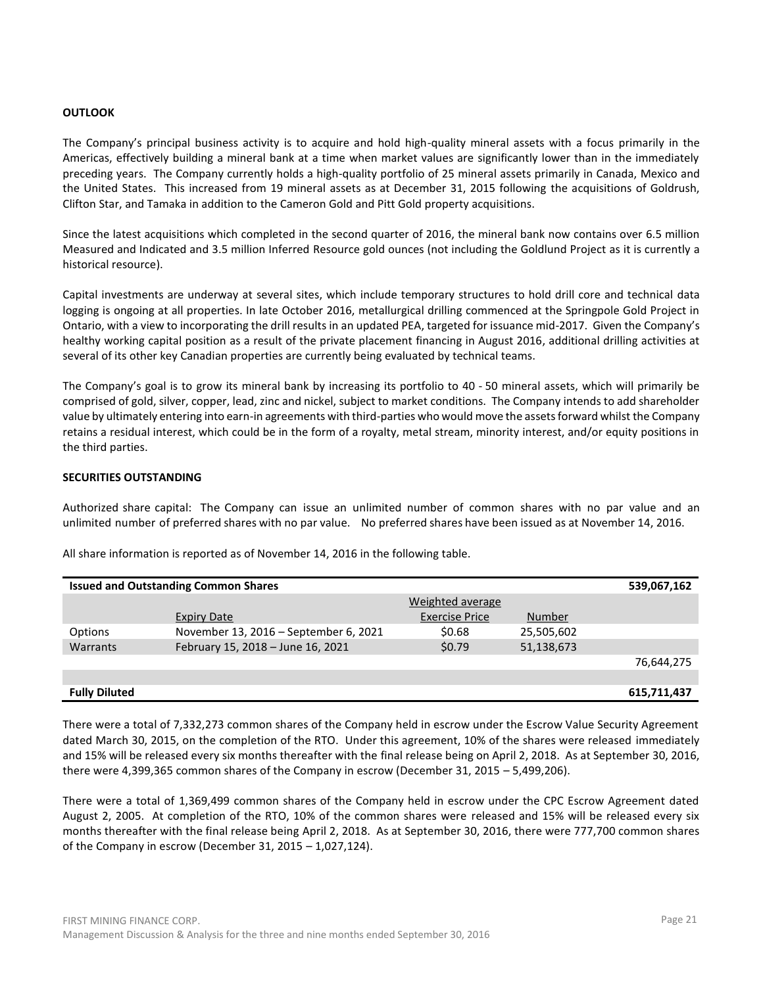#### **OUTLOOK**

The Company's principal business activity is to acquire and hold high-quality mineral assets with a focus primarily in the Americas, effectively building a mineral bank at a time when market values are significantly lower than in the immediately preceding years. The Company currently holds a high-quality portfolio of 25 mineral assets primarily in Canada, Mexico and the United States. This increased from 19 mineral assets as at December 31, 2015 following the acquisitions of Goldrush, Clifton Star, and Tamaka in addition to the Cameron Gold and Pitt Gold property acquisitions.

Since the latest acquisitions which completed in the second quarter of 2016, the mineral bank now contains over 6.5 million Measured and Indicated and 3.5 million Inferred Resource gold ounces (not including the Goldlund Project as it is currently a historical resource).

Capital investments are underway at several sites, which include temporary structures to hold drill core and technical data logging is ongoing at all properties. In late October 2016, metallurgical drilling commenced at the Springpole Gold Project in Ontario, with a view to incorporating the drill results in an updated PEA, targeted for issuance mid-2017. Given the Company's healthy working capital position as a result of the private placement financing in August 2016, additional drilling activities at several of its other key Canadian properties are currently being evaluated by technical teams.

The Company's goal is to grow its mineral bank by increasing its portfolio to 40 - 50 mineral assets, which will primarily be comprised of gold, silver, copper, lead, zinc and nickel, subject to market conditions. The Company intends to add shareholder value by ultimately entering into earn-in agreements with third-parties who would move the assets forward whilst the Company retains a residual interest, which could be in the form of a royalty, metal stream, minority interest, and/or equity positions in the third parties.

### **SECURITIES OUTSTANDING**

Authorized share capital: The Company can issue an unlimited number of common shares with no par value and an unlimited number of preferred shares with no par value. No preferred shares have been issued as at November 14, 2016.

| <b>Issued and Outstanding Common Shares</b><br>539,067,162 |                                       |                       |            |             |  |  |  |  |  |  |  |  |  |
|------------------------------------------------------------|---------------------------------------|-----------------------|------------|-------------|--|--|--|--|--|--|--|--|--|
|                                                            |                                       | Weighted average      |            |             |  |  |  |  |  |  |  |  |  |
|                                                            | <b>Expiry Date</b>                    | <b>Exercise Price</b> | Number     |             |  |  |  |  |  |  |  |  |  |
| Options                                                    | November 13, 2016 – September 6, 2021 | \$0.68                | 25,505,602 |             |  |  |  |  |  |  |  |  |  |
| Warrants                                                   | February 15, 2018 - June 16, 2021     | \$0.79                | 51,138,673 |             |  |  |  |  |  |  |  |  |  |
|                                                            |                                       |                       |            | 76,644,275  |  |  |  |  |  |  |  |  |  |
|                                                            |                                       |                       |            |             |  |  |  |  |  |  |  |  |  |
| <b>Fully Diluted</b>                                       |                                       |                       |            | 615,711,437 |  |  |  |  |  |  |  |  |  |

All share information is reported as of November 14, 2016 in the following table.

There were a total of 7,332,273 common shares of the Company held in escrow under the Escrow Value Security Agreement dated March 30, 2015, on the completion of the RTO. Under this agreement, 10% of the shares were released immediately and 15% will be released every six months thereafter with the final release being on April 2, 2018. As at September 30, 2016, there were 4,399,365 common shares of the Company in escrow (December 31, 2015 – 5,499,206).

There were a total of 1,369,499 common shares of the Company held in escrow under the CPC Escrow Agreement dated August 2, 2005. At completion of the RTO, 10% of the common shares were released and 15% will be released every six months thereafter with the final release being April 2, 2018. As at September 30, 2016, there were 777,700 common shares of the Company in escrow (December 31, 2015 – 1,027,124).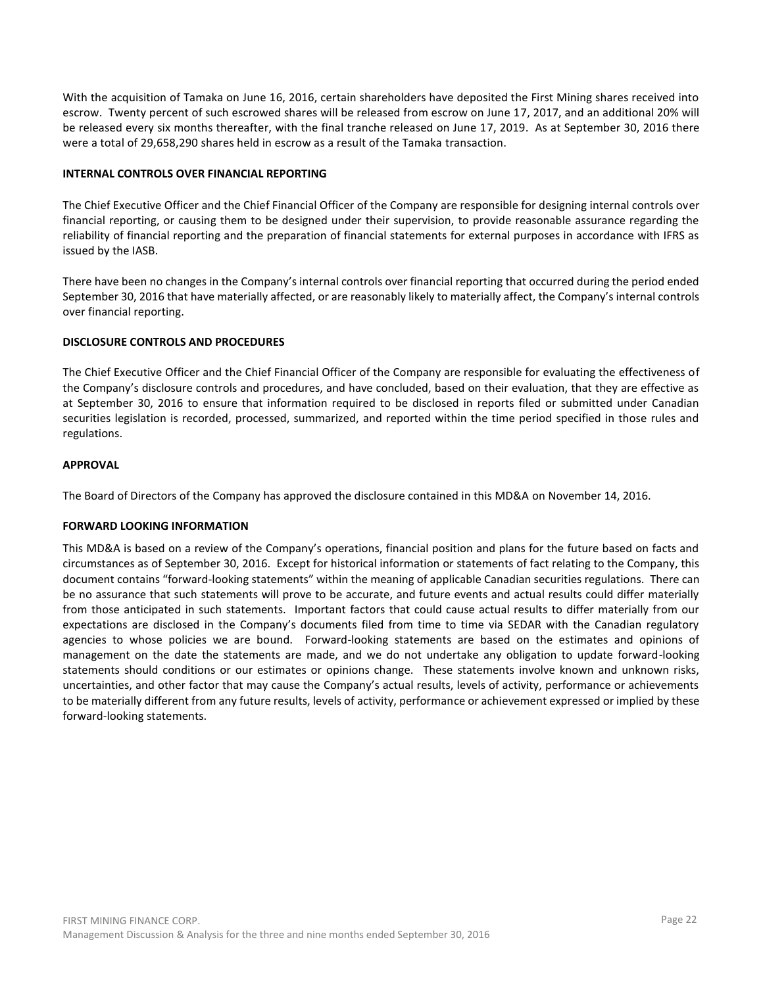With the acquisition of Tamaka on June 16, 2016, certain shareholders have deposited the First Mining shares received into escrow. Twenty percent of such escrowed shares will be released from escrow on June 17, 2017, and an additional 20% will be released every six months thereafter, with the final tranche released on June 17, 2019. As at September 30, 2016 there were a total of 29,658,290 shares held in escrow as a result of the Tamaka transaction.

### **INTERNAL CONTROLS OVER FINANCIAL REPORTING**

The Chief Executive Officer and the Chief Financial Officer of the Company are responsible for designing internal controls over financial reporting, or causing them to be designed under their supervision, to provide reasonable assurance regarding the reliability of financial reporting and the preparation of financial statements for external purposes in accordance with IFRS as issued by the IASB.

There have been no changes in the Company's internal controls over financial reporting that occurred during the period ended September 30, 2016 that have materially affected, or are reasonably likely to materially affect, the Company's internal controls over financial reporting.

## **DISCLOSURE CONTROLS AND PROCEDURES**

The Chief Executive Officer and the Chief Financial Officer of the Company are responsible for evaluating the effectiveness of the Company's disclosure controls and procedures, and have concluded, based on their evaluation, that they are effective as at September 30, 2016 to ensure that information required to be disclosed in reports filed or submitted under Canadian securities legislation is recorded, processed, summarized, and reported within the time period specified in those rules and regulations.

# **APPROVAL**

The Board of Directors of the Company has approved the disclosure contained in this MD&A on November 14, 2016.

#### **FORWARD LOOKING INFORMATION**

This MD&A is based on a review of the Company's operations, financial position and plans for the future based on facts and circumstances as of September 30, 2016. Except for historical information or statements of fact relating to the Company, this document contains "forward-looking statements" within the meaning of applicable Canadian securities regulations. There can be no assurance that such statements will prove to be accurate, and future events and actual results could differ materially from those anticipated in such statements. Important factors that could cause actual results to differ materially from our expectations are disclosed in the Company's documents filed from time to time via SEDAR with the Canadian regulatory agencies to whose policies we are bound. Forward-looking statements are based on the estimates and opinions of management on the date the statements are made, and we do not undertake any obligation to update forward-looking statements should conditions or our estimates or opinions change. These statements involve known and unknown risks, uncertainties, and other factor that may cause the Company's actual results, levels of activity, performance or achievements to be materially different from any future results, levels of activity, performance or achievement expressed or implied by these forward-looking statements.